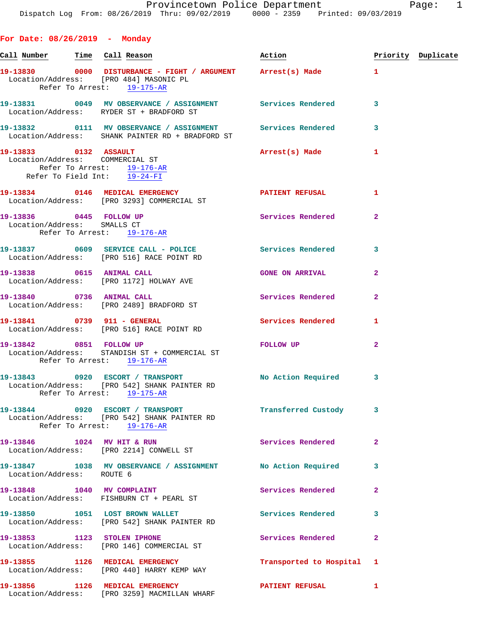**For Date: 08/26/2019 - Monday** Call Number Time Call Reason **Reason Action Action** Priority Duplicate **19-13830 0000 DISTURBANCE - FIGHT / ARGUMENT Arrest(s) Made 1**  Location/Address: [PRO 484] MASONIC PL Refer To Arrest: 19-175-AR **19-13831 0049 MV OBSERVANCE / ASSIGNMENT Services Rendered 3**  Location/Address: RYDER ST + BRADFORD ST **19-13832 0111 MV OBSERVANCE / ASSIGNMENT Services Rendered 3**  Location/Address: SHANK PAINTER RD + BRADFORD ST **19-13833 0132 ASSAULT Arrest(s) Made 1**  Location/Address: COMMERCIAL ST Refer To Arrest: 19-176-AR Refer To Field Int: 19-24-FI **19-13834 0146 MEDICAL EMERGENCY PATIENT REFUSAL 1**  Location/Address: [PRO 3293] COMMERCIAL ST **19-13836 0445 FOLLOW UP Services Rendered 2**  Location/Address: SMALLS CT Refer To Arrest: 19-176-AR **19-13837 0609 SERVICE CALL - POLICE Services Rendered 3**  Location/Address: [PRO 516] RACE POINT RD **19-13838 0615 ANIMAL CALL GONE ON ARRIVAL 2**  Location/Address: [PRO 1172] HOLWAY AVE 19-13840 0736 ANIMAL CALL **Services Rendered** 2 Location/Address: [PRO 2489] BRADFORD ST **19-13841 0739 911 - GENERAL Services Rendered 1**  Location/Address: [PRO 516] RACE POINT RD **19-13842 0851 FOLLOW UP FOLLOW UP 2**  Location/Address: STANDISH ST + COMMERCIAL ST Refer To Arrest: 19-176-AR **19-13843 0920 ESCORT / TRANSPORT No Action Required 3**  Location/Address: [PRO 542] SHANK PAINTER RD Refer To Arrest: 19-175-AR 19-13844 0920 ESCORT / TRANSPORT **Transferred Custody** 3 Location/Address: [PRO 542] SHANK PAINTER RD Refer To Arrest: 19-176-AR **19-13846 1024 MV HIT & RUN Services Rendered 2**  Location/Address: [PRO 2214] CONWELL ST **19-13847 1038 MV OBSERVANCE / ASSIGNMENT No Action Required 3** 

 Location/Address: ROUTE 6 19-13848 1040 MV COMPLAINT **19-13848** Services Rendered 2 Location/Address: FISHBURN CT + PEARL ST 19-13850 1051 LOST BROWN WALLET **19-13850** Services Rendered 3 Location/Address: [PRO 542] SHANK PAINTER RD **19-13853 1123 STOLEN IPHONE Services Rendered 2**  Location/Address: [PRO 146] COMMERCIAL ST **19-13855 1126 MEDICAL EMERGENCY Transported to Hospital 1**  Location/Address: [PRO 440] HARRY KEMP WAY **19-13856 1126 MEDICAL EMERGENCY PATIENT REFUSAL 1**  Location/Address: [PRO 3259] MACMILLAN WHARF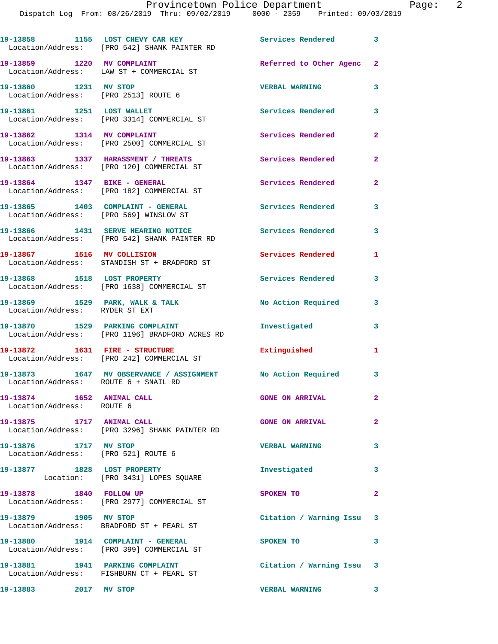|                                                               | 19-13858 1155 LOST CHEVY CAR KEY<br>Location/Address: [PRO 542] SHANK PAINTER RD   | <b>Services Rendered</b>  | 3                       |
|---------------------------------------------------------------|------------------------------------------------------------------------------------|---------------------------|-------------------------|
| 19-13859 1220 MV COMPLAINT                                    | Location/Address: LAW ST + COMMERCIAL ST                                           | Referred to Other Agenc 2 |                         |
| 19-13860 1231 MV STOP<br>Location/Address: [PRO 2513] ROUTE 6 |                                                                                    | <b>VERBAL WARNING</b>     | 3                       |
| 19-13861 1251 LOST WALLET                                     | Location/Address: [PRO 3314] COMMERCIAL ST                                         | Services Rendered         | 3                       |
|                                                               | 19-13862 1314 MV COMPLAINT<br>Location/Address: [PRO 2500] COMMERCIAL ST           | Services Rendered         | $\mathbf{2}$            |
|                                                               | 19-13863 1337 HARASSMENT / THREATS<br>Location/Address: [PRO 120] COMMERCIAL ST    | Services Rendered         | $\mathbf{2}$            |
|                                                               | 19-13864 1347 BIKE - GENERAL<br>Location/Address: [PRO 182] COMMERCIAL ST          | Services Rendered         | $\overline{a}$          |
| Location/Address: [PRO 569] WINSLOW ST                        | 19-13865 1403 COMPLAINT - GENERAL                                                  | <b>Services Rendered</b>  | 3                       |
|                                                               | 19-13866 1431 SERVE HEARING NOTICE<br>Location/Address: [PRO 542] SHANK PAINTER RD | <b>Services Rendered</b>  | 3                       |
|                                                               | 19-13867 1516 MV COLLISION<br>Location/Address: STANDISH ST + BRADFORD ST          | <b>Services Rendered</b>  | 1                       |
|                                                               | 19-13868 1518 LOST PROPERTY<br>Location/Address: [PRO 1638] COMMERCIAL ST          | Services Rendered         | 3                       |
| Location/Address: RYDER ST EXT                                | 19-13869 1529 PARK, WALK & TALK                                                    | No Action Required        | 3                       |
| 19-13870 1529 PARKING COMPLAINT                               | Location/Address: [PRO 1196] BRADFORD ACRES RD                                     | Investigated              | 3                       |
|                                                               | 19-13872 1631 FIRE - STRUCTURE<br>Location/Address: [PRO 242] COMMERCIAL ST        | Extinguished              | 1                       |
|                                                               |                                                                                    |                           | 3                       |
| 19-13874 1652 ANIMAL CALL<br>Location/Address: ROUTE 6        |                                                                                    | <b>GONE ON ARRIVAL</b>    | $\mathbf{2}$            |
| 19-13875 1717 ANIMAL CALL                                     | Location/Address: [PRO 3296] SHANK PAINTER RD                                      | <b>GONE ON ARRIVAL</b>    | $\overline{2}$          |
| 19-13876 1717 MV STOP<br>Location/Address: [PRO 521] ROUTE 6  |                                                                                    | <b>VERBAL WARNING</b>     | 3                       |
| 19-13877 1828 LOST PROPERTY                                   | Location: [PRO 3431] LOPES SQUARE                                                  | Investigated              | $\overline{\mathbf{3}}$ |
| 19-13878 1840 FOLLOW UP                                       | Location/Address: [PRO 2977] COMMERCIAL ST                                         | SPOKEN TO                 | $\mathbf{2}$            |
| 19-13879 1905 MV STOP                                         | Location/Address: BRADFORD ST + PEARL ST                                           | Citation / Warning Issu 3 |                         |
|                                                               | 19-13880 1914 COMPLAINT - GENERAL<br>Location/Address: [PRO 399] COMMERCIAL ST     | SPOKEN TO                 | 3                       |
|                                                               | 19-13881 1941 PARKING COMPLAINT<br>Location/Address: FISHBURN CT + PEARL ST        | Citation / Warning Issu 3 |                         |
| 19-13883 2017 MV STOP                                         |                                                                                    | VERBAL WARNING 3          |                         |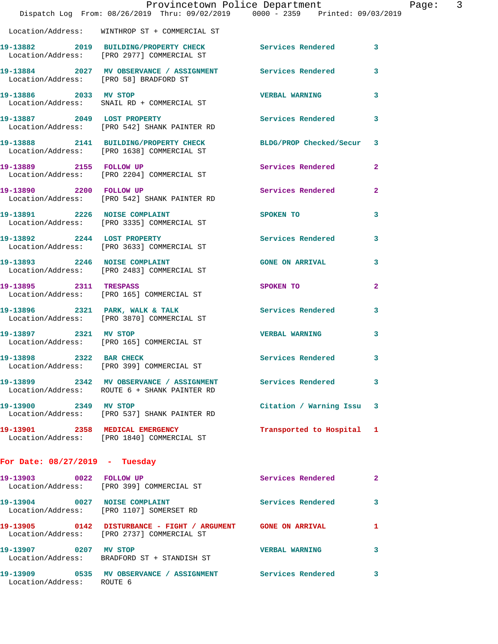|                                  | Dispatch Log From: 08/26/2019 Thru: 09/02/2019 0000 - 2359 Printed: 09/03/2019                                | Provincetown Police Department |                | Page: 3 |  |
|----------------------------------|---------------------------------------------------------------------------------------------------------------|--------------------------------|----------------|---------|--|
|                                  | Location/Address: WINTHROP ST + COMMERCIAL ST                                                                 |                                |                |         |  |
|                                  | 19-13882 2019 BUILDING/PROPERTY CHECK Services Rendered 3<br>Location/Address: [PRO 2977] COMMERCIAL ST       |                                |                |         |  |
|                                  | 19-13884 2027 MV OBSERVANCE / ASSIGNMENT Services Rendered<br>Location/Address: [PRO 58] BRADFORD ST          |                                | $\mathbf{3}$   |         |  |
| 19-13886 2033 MV STOP            | Location/Address: SNAIL RD + COMMERCIAL ST                                                                    | <b>VERBAL WARNING</b>          | 3              |         |  |
|                                  | 19-13887 2049 LOST PROPERTY<br>Location/Address: [PRO 542] SHANK PAINTER RD                                   | Services Rendered              | 3              |         |  |
|                                  | 19-13888 2141 BUILDING/PROPERTY CHECK BLDG/PROP Checked/Secur 3<br>Location/Address: [PRO 1638] COMMERCIAL ST |                                |                |         |  |
|                                  | 19-13889 2155 FOLLOW UP<br>Location/Address: [PRO 2204] COMMERCIAL ST                                         | Services Rendered              | $\mathbf{2}$   |         |  |
| 19-13890 2200 FOLLOW UP          | Location/Address: [PRO 542] SHANK PAINTER RD                                                                  | Services Rendered              | $\overline{2}$ |         |  |
|                                  | 19-13891 2226 NOISE COMPLAINT<br>Location/Address: [PRO 3335] COMMERCIAL ST                                   | SPOKEN TO                      | 3              |         |  |
|                                  | 19-13892 2244 LOST PROPERTY<br>Location/Address: [PRO 3633] COMMERCIAL ST                                     | Services Rendered              | 3              |         |  |
|                                  | 19-13893 2246 NOISE COMPLAINT<br>Location/Address: [PRO 2483] COMMERCIAL ST                                   | <b>GONE ON ARRIVAL</b>         | 3              |         |  |
| 19-13895 2311 TRESPASS           | Location/Address: [PRO 165] COMMERCIAL ST                                                                     | SPOKEN TO                      | $\mathbf{2}$   |         |  |
|                                  | 19-13896 2321 PARK, WALK & TALK<br>Location/Address: [PRO 3870] COMMERCIAL ST                                 | Services Rendered 3            |                |         |  |
| 19-13897 2321 MV STOP            | Location/Address: [PRO 165] COMMERCIAL ST                                                                     | <b>VERBAL WARNING</b>          | 3              |         |  |
| 19-13898 2322 BAR CHECK          | Location/Address: [PRO 399] COMMERCIAL ST                                                                     | Services Rendered 3            |                |         |  |
|                                  | 19-13899 2342 MV OBSERVANCE / ASSIGNMENT Services Rendered<br>Location/Address: ROUTE 6 + SHANK PAINTER RD    |                                | 3              |         |  |
|                                  | 19-13900 2349 MV STOP<br>Location/Address: [PRO 537] SHANK PAINTER RD                                         | Citation / Warning Issu 3      |                |         |  |
|                                  | 19-13901 2358 MEDICAL EMERGENCY<br>Location/Address: [PRO 1840] COMMERCIAL ST                                 | Transported to Hospital 1      |                |         |  |
| For Date: $08/27/2019$ - Tuesday |                                                                                                               |                                |                |         |  |
|                                  | 19-13903 0022 FOLLOW UP<br>Location/Address: [PRO 399] COMMERCIAL ST                                          | Services Rendered              | 2              |         |  |
|                                  | 19-13904 0027 NOISE COMPLAINT<br>Location/Address: [PRO 1107] SOMERSET RD                                     | Services Rendered              | 3              |         |  |
|                                  | 19-13905 0142 DISTURBANCE - FIGHT / ARGUMENT GONE ON ARRIVAL<br>Location/Address: [PRO 2737] COMMERCIAL ST    |                                | 1              |         |  |
| 19-13907 0207 MV STOP            | Location/Address: BRADFORD ST + STANDISH ST                                                                   | <b>VERBAL WARNING</b>          | 3              |         |  |
| Location/Address: ROUTE 6        | 19-13909 0535 MV OBSERVANCE / ASSIGNMENT Services Rendered                                                    |                                | 3              |         |  |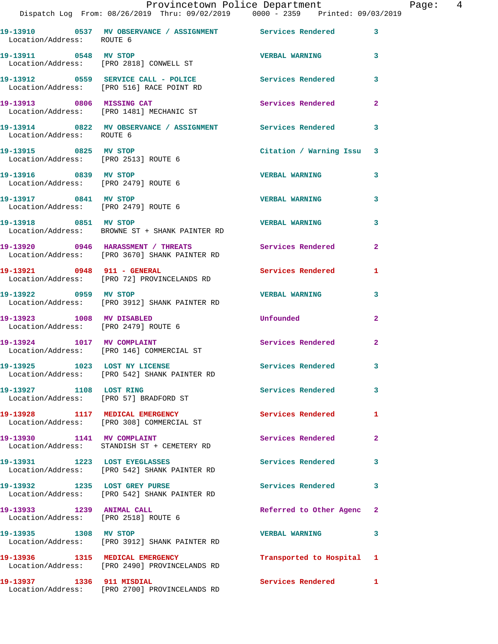|                                       |      | Provincetown Police Department                                                 |                       |   |
|---------------------------------------|------|--------------------------------------------------------------------------------|-----------------------|---|
|                                       |      | Dispatch Log From: 08/26/2019 Thru: 09/02/2019 0000 - 2359 Printed: 09/03/2019 |                       |   |
| 19-13910<br>Location/Address: ROUTE 6 | 0537 | MV OBSERVANCE / ASSIGNMENT                                                     | Services Rendered     |   |
| 19–13911                              | 0548 | MV STOP<br>Location/Address: [PRO 2818] CONWELL ST                             | <b>VERBAL WARNING</b> | 3 |
| 19-13912                              | 0559 | SERVICE CALL - POLICE                                                          | Services Rendered     |   |

Location/Address: [PRO 1481] MECHANIC ST

**19-13914 0822 MV OBSERVANCE / ASSIGNMENT Services Rendered 3**  Location/Address: ROUTE 6

Location/Address: [PRO 2513] ROUTE 6

Location/Address: [PRO 2479] ROUTE 6

Location/Address: [PRO 2479] ROUTE 6

**19-13918 0851 MV STOP VERBAL WARNING 3**  Location/Address: BROWNE ST + SHANK PAINTER RD

**19-13920 0946 HARASSMENT / THREATS Services Rendered 2**  Location/Address: [PRO 3670] SHANK PAINTER RD

Location/Address: [PRO 72] PROVINCELANDS RD

Location/Address: [PRO 3912] SHANK PAINTER RD

**19-13923 1008 MV DISABLED Unfounded 2**  Location/Address: [PRO 2479] ROUTE 6

Location/Address: [PRO 542] SHANK PAINTER RD

Location/Address: [PRO 57] BRADFORD ST

Location/Address: [PRO 308] COMMERCIAL ST

19-13930 1141 MV COMPLAINT **1141 Services Rendered** 2

**19-13931 1223 LOST EYEGLASSES Services Rendered 3** 

**19-13932 1235 LOST GREY PURSE Services Rendered 3** 

**19-13933 1239 ANIMAL CALL Referred to Other Agenc 2** 

**19-13935 1308 MV STOP VERBAL WARNING 3**  Location/Address: [PRO 3912] SHANK PAINTER RD

Page: 4

 Location/Address: [PRO 516] RACE POINT RD 19-13913 0806 MISSING CAT Services Rendered 2 **19-13915 0825 MV STOP Citation / Warning Issu 3 19-13916 0839 MV STOP VERBAL WARNING 3 19-13917 0841 MV STOP VERBAL WARNING 3**  19-13921 0948 911 - GENERAL Services Rendered 1

**19-13922 0959 MV STOP VERBAL WARNING 3** 

19-13924 1017 MV COMPLAINT **19-12-2 Services Rendered** 2 Location/Address: [PRO 146] COMMERCIAL ST **19-13925 1023 LOST NY LICENSE Services Rendered 3** 

**19-13927 1108 LOST RING Services Rendered 3** 

**19-13928 1117 MEDICAL EMERGENCY Services Rendered 1** 

Location/Address: STANDISH ST + CEMETERY RD

Location/Address: [PRO 542] SHANK PAINTER RD

Location/Address: [PRO 542] SHANK PAINTER RD

Location/Address: [PRO 2518] ROUTE 6

**19-13936 1315 MEDICAL EMERGENCY Transported to Hospital 1**  Location/Address: [PRO 2490] PROVINCELANDS RD

**19-13937 1336 911 MISDIAL Services Rendered 1**  Location/Address: [PRO 2700] PROVINCELANDS RD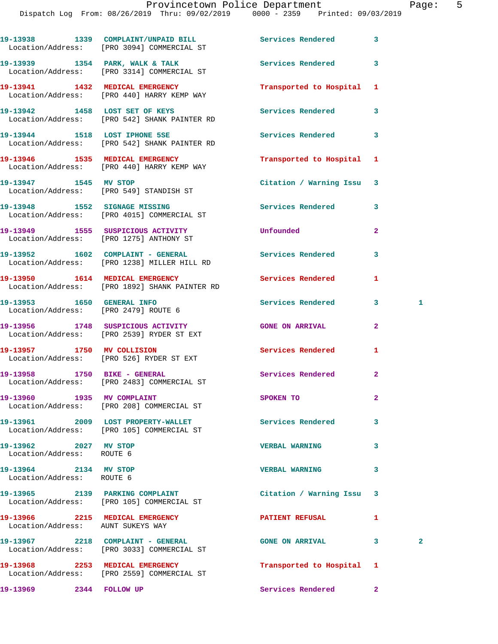|                                                                      | 19-13938 1339 COMPLAINT/UNPAID BILL<br>Location/Address: [PRO 3094] COMMERCIAL ST | <b>Services Rendered</b>  | 3              |              |
|----------------------------------------------------------------------|-----------------------------------------------------------------------------------|---------------------------|----------------|--------------|
|                                                                      | 19-13939 1354 PARK, WALK & TALK<br>Location/Address: [PRO 3314] COMMERCIAL ST     | <b>Services Rendered</b>  | 3              |              |
|                                                                      | 19-13941 1432 MEDICAL EMERGENCY<br>Location/Address: [PRO 440] HARRY KEMP WAY     | Transported to Hospital   | 1              |              |
|                                                                      | 19-13942 1458 LOST SET OF KEYS<br>Location/Address: [PRO 542] SHANK PAINTER RD    | Services Rendered         | 3              |              |
|                                                                      | 19-13944 1518 LOST IPHONE 5SE<br>Location/Address: [PRO 542] SHANK PAINTER RD     | <b>Services Rendered</b>  | 3              |              |
|                                                                      | 19-13946 1535 MEDICAL EMERGENCY<br>Location/Address: [PRO 440] HARRY KEMP WAY     | Transported to Hospital   | 1              |              |
| 19-13947 1545 MV STOP                                                | Location/Address: [PRO 549] STANDISH ST                                           | Citation / Warning Issu   | 3              |              |
|                                                                      | 19-13948 1552 SIGNAGE MISSING<br>Location/Address: [PRO 4015] COMMERCIAL ST       | Services Rendered         | 3              |              |
|                                                                      | 19-13949 1555 SUSPICIOUS ACTIVITY<br>Location/Address: [PRO 1275] ANTHONY ST      | Unfounded                 | $\mathbf{2}$   |              |
|                                                                      | 19-13952 1602 COMPLAINT - GENERAL<br>Location/Address: [PRO 1238] MILLER HILL RD  | <b>Services Rendered</b>  | 3              |              |
|                                                                      | 19-13950 1614 MEDICAL EMERGENCY<br>Location/Address: [PRO 1892] SHANK PAINTER RD  | Services Rendered         | 1              |              |
| 19-13953 1650 GENERAL INFO<br>Location/Address: [PRO 2479] ROUTE 6   |                                                                                   | Services Rendered         | 3              | 1            |
|                                                                      | 19-13956 1748 SUSPICIOUS ACTIVITY<br>Location/Address: [PRO 2539] RYDER ST EXT    | <b>GONE ON ARRIVAL</b>    | $\mathbf{2}$   |              |
|                                                                      | 19-13957 1750 MV COLLISION<br>Location/Address: [PRO 526] RYDER ST EXT            | Services Rendered         | 1              |              |
| 19-13958 1750 BIKE - GENERAL                                         | Location/Address: [PRO 2483] COMMERCIAL ST                                        | Services Rendered         | $\overline{a}$ |              |
| 19-13960 1935 MV COMPLAINT                                           | Location/Address: [PRO 208] COMMERCIAL ST                                         | SPOKEN TO                 | 2              |              |
|                                                                      | 19-13961 2009 LOST PROPERTY-WALLET<br>Location/Address: [PRO 105] COMMERCIAL ST   | <b>Services Rendered</b>  | 3              |              |
| 19-13962 2027 MV STOP<br>Location/Address: ROUTE 6                   |                                                                                   | <b>VERBAL WARNING</b>     | 3              |              |
| 19-13964 2134 MV STOP<br>Location/Address: ROUTE 6                   |                                                                                   | <b>VERBAL WARNING</b>     | 3              |              |
|                                                                      | 19-13965 2139 PARKING COMPLAINT<br>Location/Address: [PRO 105] COMMERCIAL ST      | Citation / Warning Issu   | 3              |              |
| 19-13966 2215 MEDICAL EMERGENCY<br>Location/Address: AUNT SUKEYS WAY |                                                                                   | <b>PATIENT REFUSAL</b>    | 1              |              |
|                                                                      | 19-13967 2218 COMPLAINT - GENERAL<br>Location/Address: [PRO 3033] COMMERCIAL ST   | <b>GONE ON ARRIVAL</b>    | 3              | $\mathbf{2}$ |
|                                                                      | 19-13968 2253 MEDICAL EMERGENCY<br>Location/Address: [PRO 2559] COMMERCIAL ST     | Transported to Hospital 1 |                |              |
|                                                                      |                                                                                   |                           |                |              |

**19-13969 2344 FOLLOW UP Services Rendered 2**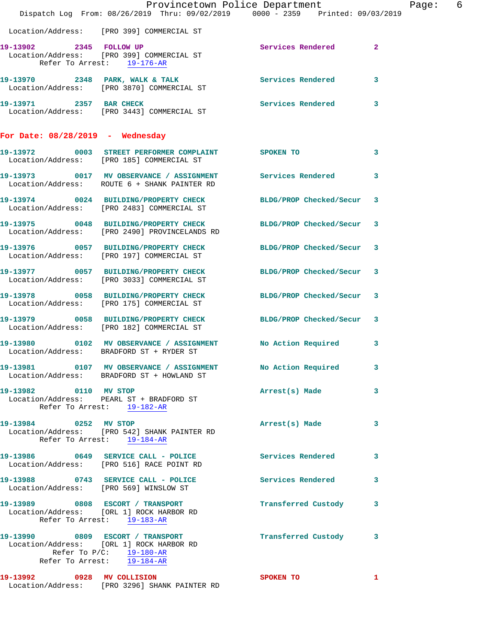|                                  | Dispatch Log From: 08/26/2019 Thru: 09/02/2019 0000 - 2359 Printed: 09/03/2019                                   | Provincetown Police Department | Page: 6      |  |
|----------------------------------|------------------------------------------------------------------------------------------------------------------|--------------------------------|--------------|--|
|                                  | Location/Address: [PRO 399] COMMERCIAL ST                                                                        |                                |              |  |
| Refer To Arrest: 19-176-AR       | Example of the Universe Services Rendered Medicine Services Address: [PRO 399] COMMERCIAL ST                     |                                |              |  |
|                                  | 19-13970 2348 PARK, WALK & TALK 2008 Services Rendered 3<br>Location/Address: [PRO 3870] COMMERCIAL ST           |                                |              |  |
|                                  | 19-13971 2357 BAR CHECK<br>Location/Address: [PRO 3443] COMMERCIAL ST                                            | Services Rendered 3            |              |  |
| For Date: 08/28/2019 - Wednesday |                                                                                                                  |                                |              |  |
|                                  | 19-13972 0003 STREET PERFORMER COMPLAINT SPOKEN TO<br>Location/Address: [PRO 185] COMMERCIAL ST                  |                                | 3            |  |
|                                  | 19-13973 0017 MV OBSERVANCE / ASSIGNMENT Services Rendered 3<br>Location/Address: ROUTE 6 + SHANK PAINTER RD     |                                |              |  |
|                                  | 19-13974 0024 BUILDING/PROPERTY CHECK BLDG/PROP Checked/Secur 3<br>Location/Address: [PRO 2483] COMMERCIAL ST    |                                |              |  |
|                                  | 19-13975 0048 BUILDING/PROPERTY CHECK BLDG/PROP Checked/Secur 3<br>Location/Address: [PRO 2490] PROVINCELANDS RD |                                |              |  |
|                                  | 19-13976 0057 BUILDING/PROPERTY CHECK BLDG/PROP Checked/Secur 3<br>Location/Address: [PRO 197] COMMERCIAL ST     |                                |              |  |
|                                  | 19-13977 0057 BUILDING/PROPERTY CHECK BLDG/PROP Checked/Secur 3<br>Location/Address: [PRO 3033] COMMERCIAL ST    |                                |              |  |
|                                  | 19-13978 0058 BUILDING/PROPERTY CHECK BLDG/PROP Checked/Secur 3<br>Location/Address: [PRO 175] COMMERCIAL ST     |                                |              |  |
|                                  | 19-13979 0058 BUILDING/PROPERTY CHECK BLDG/PROP Checked/Secur 3<br>Location/Address: [PRO 182] COMMERCIAL ST     |                                |              |  |
|                                  | 19-13980 0102 MV OBSERVANCE / ASSIGNMENT No Action Required 3<br>Location/Address: BRADFORD ST + RYDER ST        |                                |              |  |
|                                  | 19-13981 0107 MV OBSERVANCE / ASSIGNMENT<br>Location/Address: BRADFORD ST + HOWLAND ST                           | No Action Required             | 3            |  |
| 19-13982 0110 MV STOP            | Location/Address: PEARL ST + BRADFORD ST<br>Refer To Arrest: 19-182-AR                                           | Arrest(s) Made 3               |              |  |
| 19-13984 0252 MV STOP            | Location/Address: [PRO 542] SHANK PAINTER RD<br>Refer To Arrest: 19-184-AR                                       | Arrest(s) Made                 | 3            |  |
|                                  | 19-13986 0649 SERVICE CALL - POLICE<br>Location/Address: [PRO 516] RACE POINT RD                                 | <b>Services Rendered</b>       | 3            |  |
|                                  | 19-13988 0743 SERVICE CALL - POLICE<br>Location/Address: [PRO 569] WINSLOW ST                                    | Services Rendered              | 3            |  |
|                                  | 19-13989 0808 ESCORT / TRANSPORT<br>Location/Address: [ORL 1] ROCK HARBOR RD<br>Refer To Arrest: 19-183-AR       | Transferred Custody            | 3            |  |
|                                  | 19-13990 0809 ESCORT / TRANSPORT<br>Location/Address: [ORL 1] ROCK HARBOR RD<br>Refer To $P/C$ : 19-180-AR       | Transferred Custody 3          |              |  |
|                                  | Refer To Arrest: 19-184-AR                                                                                       |                                |              |  |
| 19-13992 0928 MV COLLISION       | Location/Address: [PRO 3296] SHANK PAINTER RD                                                                    | <b>SPOKEN TO</b>               | $\mathbf{1}$ |  |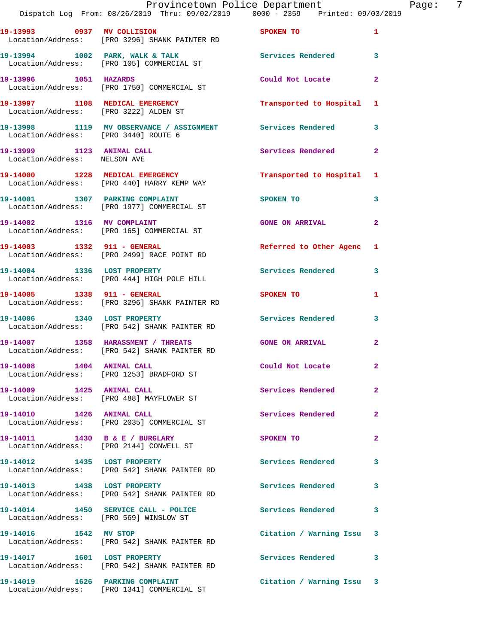|                                                           | Provincetown Police Department The Page: 7<br>Dispatch Log From: 08/26/2019 Thru: 09/02/2019 0000 - 2359 Printed: 09/03/2019 |                             |                |
|-----------------------------------------------------------|------------------------------------------------------------------------------------------------------------------------------|-----------------------------|----------------|
|                                                           | 19-13993 0937 MV COLLISION SPOKEN TO<br>Location/Address: [PRO 3296] SHANK PAINTER RD                                        |                             | $\mathbf{1}$   |
|                                                           | 19-13994 1002 PARK, WALK & TALK 1998 Services Rendered 3<br>Location/Address: [PRO 105] COMMERCIAL ST                        |                             |                |
|                                                           | 19-13996 1051 HAZARDS<br>Location/Address: [PRO 1750] COMMERCIAL ST                                                          | Could Not Locate            | $\mathbf{2}$   |
|                                                           |                                                                                                                              |                             |                |
|                                                           | 19-13998 1119 MV OBSERVANCE / ASSIGNMENT Services Rendered 3<br>Location/Address: [PRO 3440] ROUTE 6                         |                             |                |
| 19-13999 1123 ANIMAL CALL<br>Location/Address: NELSON AVE |                                                                                                                              | Services Rendered           | $\mathbf{2}$   |
|                                                           | 19-14000 1228 MEDICAL EMERGENCY<br>Location/Address: [PRO 440] HARRY KEMP WAY                                                | Transported to Hospital 1   |                |
|                                                           | 19-14001 1307 PARKING COMPLAINT<br>Location/Address: [PRO 1977] COMMERCIAL ST                                                | <b>SPOKEN TO</b>            | 3              |
|                                                           | 19-14002 1316 MV COMPLAINT<br>Location/Address: [PRO 165] COMMERCIAL ST                                                      | <b>GONE ON ARRIVAL</b>      | $\overline{2}$ |
|                                                           | 19-14003 1332 911 - GENERAL<br>Location/Address: [PRO 2499] RACE POINT RD                                                    | Referred to Other Agenc 1   |                |
|                                                           | 19-14004 1336 LOST PROPERTY<br>Location/Address: [PRO 444] HIGH POLE HILL                                                    | Services Rendered 3         |                |
|                                                           | 19-14005 1338 911 - GENERAL<br>Location/Address: [PRO 3296] SHANK PAINTER RD                                                 | SPOKEN TO AND THE SPOKEN TO | 1              |
|                                                           | 19-14006 1340 LOST PROPERTY<br>Location/Address: [PRO 542] SHANK PAINTER RD                                                  | Services Rendered 3         |                |
|                                                           | 19-14007 1358 HARASSMENT / THREATS GONE ON ARRIVAL<br>Location/Address: [PRO 542] SHANK PAINTER RD                           |                             | $\mathbf{2}$   |
|                                                           | 19-14008 1404 ANIMAL CALL<br>Location/Address: [PRO 1253] BRADFORD ST                                                        | Could Not Locate            |                |
| 19-14009 1425 ANIMAL CALL                                 | Location/Address: [PRO 488] MAYFLOWER ST                                                                                     | Services Rendered           | $\overline{2}$ |
| 19-14010 1426 ANIMAL CALL                                 | Location/Address: [PRO 2035] COMMERCIAL ST                                                                                   | <b>Services Rendered</b>    | $\mathbf{2}$   |
|                                                           | 19-14011 1430 B & E / BURGLARY<br>Location/Address: [PRO 2144] CONWELL ST                                                    | <b>SPOKEN TO</b>            | $\mathbf{2}$   |
|                                                           | 19-14012 1435 LOST PROPERTY<br>Location/Address: [PRO 542] SHANK PAINTER RD                                                  | <b>Services Rendered</b> 3  |                |
|                                                           | 19-14013 1438 LOST PROPERTY<br>Location/Address: [PRO 542] SHANK PAINTER RD                                                  | Services Rendered           | 3              |
|                                                           | 19-14014 1450 SERVICE CALL - POLICE 3 Services Rendered<br>Location/Address: [PRO 569] WINSLOW ST                            |                             | 3              |
|                                                           | 19-14016 1542 MV STOP<br>Location/Address: [PRO 542] SHANK PAINTER RD                                                        | Citation / Warning Issu 3   |                |
| 19-14017 1601 LOST PROPERTY                               | Location/Address: [PRO 542] SHANK PAINTER RD                                                                                 | Services Rendered 3         |                |
| 19-14019 1626 PARKING COMPLAINT                           |                                                                                                                              | Citation / Warning Issu 3   |                |

Location/Address: [PRO 1341] COMMERCIAL ST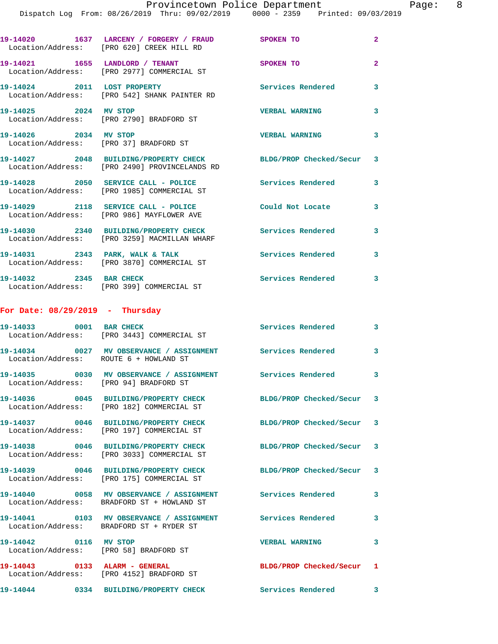|                                        | 19-14020 1637 LARCENY / FORGERY / FRAUD<br>Location/Address: [PRO 620] CREEK HILL RD                             | SPOKEN TO                 | $\overline{2}$             |
|----------------------------------------|------------------------------------------------------------------------------------------------------------------|---------------------------|----------------------------|
|                                        | 19-14021 1655 LANDLORD / TENANT<br>Location/Address: [PRO 2977] COMMERCIAL ST                                    | SPOKEN TO                 | $\overline{2}$             |
| 19-14024 2011 LOST PROPERTY            | Location/Address: [PRO 542] SHANK PAINTER RD                                                                     | Services Rendered         | 3                          |
| 19-14025 2024 MV STOP                  | Location/Address: [PRO 2790] BRADFORD ST                                                                         | <b>VERBAL WARNING</b>     | 3                          |
| 19-14026 2034 MV STOP                  | Location/Address: [PRO 37] BRADFORD ST                                                                           | <b>VERBAL WARNING</b>     | $\overline{\mathbf{3}}$    |
|                                        | 19-14027 2048 BUILDING/PROPERTY CHECK BLDG/PROP Checked/Secur 3<br>Location/Address: [PRO 2490] PROVINCELANDS RD |                           |                            |
|                                        | 19-14028 2050 SERVICE CALL - POLICE<br>Location/Address: [PRO 1985] COMMERCIAL ST                                | Services Rendered 3       |                            |
|                                        | 19-14029 2118 SERVICE CALL - POLICE<br>Location/Address: [PRO 986] MAYFLOWER AVE                                 | Could Not Locate          | 3                          |
|                                        | 19-14030 2340 BUILDING/PROPERTY CHECK<br>Location/Address: [PRO 3259] MACMILLAN WHARF                            | Services Rendered         | 3                          |
|                                        | 19-14031 2343 PARK, WALK & TALK<br>Location/Address: [PRO 3870] COMMERCIAL ST                                    | <b>Services Rendered</b>  | 3                          |
| 19-14032 2345 BAR CHECK                | Location/Address: [PRO 399] COMMERCIAL ST                                                                        | <b>Services Rendered</b>  | 3                          |
| For Date: $08/29/2019$ - Thursday      |                                                                                                                  |                           |                            |
| 19-14033 0001 BAR CHECK                | Location/Address: [PRO 3443] COMMERCIAL ST                                                                       | Services Rendered         | $\overline{\phantom{a}}$ 3 |
| Location/Address: ROUTE 6 + HOWLAND ST | 19-14034 0027 MV OBSERVANCE / ASSIGNMENT Services Rendered                                                       |                           | 3                          |
| Location/Address: [PRO 94] BRADFORD ST | 19-14035 0030 MV OBSERVANCE / ASSIGNMENT Services Rendered                                                       |                           | 3                          |
|                                        | 19-14036 0045 BUILDING/PROPERTY CHECK<br>Location/Address: [PRO 182] COMMERCIAL ST                               | BLDG/PROP Checked/Secur 3 |                            |
|                                        | 19-14037 0046 BUILDING/PROPERTY CHECK<br>Location/Address: [PRO 197] COMMERCIAL ST                               | BLDG/PROP Checked/Secur 3 |                            |
|                                        | 19-14038 0046 BUILDING/PROPERTY CHECK<br>Location/Address: [PRO 3033] COMMERCIAL ST                              | BLDG/PROP Checked/Secur 3 |                            |
|                                        | 19-14039 0046 BUILDING/PROPERTY CHECK<br>Location/Address: [PRO 175] COMMERCIAL ST                               | BLDG/PROP Checked/Secur 3 |                            |
|                                        | 19-14040 0058 MV OBSERVANCE / ASSIGNMENT<br>Location/Address: BRADFORD ST + HOWLAND ST                           | <b>Services Rendered</b>  | 3                          |
|                                        | Location/Address: BRADFORD ST + RYDER ST                                                                         |                           | 3                          |
| 19-14042 0116 MV STOP                  | Location/Address: [PRO 58] BRADFORD ST                                                                           | <b>VERBAL WARNING</b>     | 3                          |
| 19-14043 0133 ALARM - GENERAL          | Location/Address: [PRO 4152] BRADFORD ST                                                                         | BLDG/PROP Checked/Secur 1 |                            |
|                                        | 19-14044 0334 BUILDING/PROPERTY CHECK                                                                            | <b>Services Rendered</b>  | 3                          |
|                                        |                                                                                                                  |                           |                            |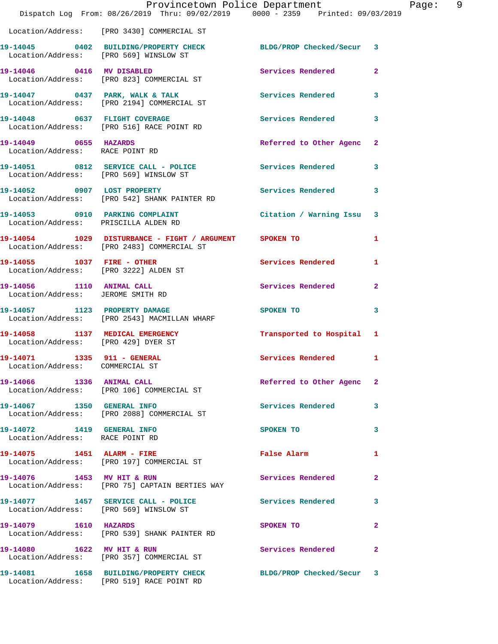|                                                                | Dispatch Log From: 08/26/2019 Thru: 09/02/2019 0000 - 2359 Printed: 09/03/2019                               | Provincetown Police Department                                                                                                                                                                                                |              | Page: 9 |  |
|----------------------------------------------------------------|--------------------------------------------------------------------------------------------------------------|-------------------------------------------------------------------------------------------------------------------------------------------------------------------------------------------------------------------------------|--------------|---------|--|
|                                                                | Location/Address: [PRO 3430] COMMERCIAL ST                                                                   |                                                                                                                                                                                                                               |              |         |  |
|                                                                | 19-14045 0402 BUILDING/PROPERTY CHECK BLDG/PROP Checked/Secur 3<br>Location/Address: [PRO 569] WINSLOW ST    |                                                                                                                                                                                                                               |              |         |  |
|                                                                | 19-14046 0416 MV DISABLED<br>Location/Address: [PRO 823] COMMERCIAL ST                                       | Services Rendered                                                                                                                                                                                                             | $\mathbf{2}$ |         |  |
|                                                                | 19-14047 0437 PARK, WALK & TALK Services Rendered<br>Location/Address: [PRO 2194] COMMERCIAL ST              |                                                                                                                                                                                                                               | $\mathbf{3}$ |         |  |
|                                                                | 19-14048 0637 FLIGHT COVERAGE<br>Location/Address: [PRO 516] RACE POINT RD                                   | Services Rendered                                                                                                                                                                                                             | 3            |         |  |
| 19-14049 0655 HAZARDS<br>Location/Address: RACE POINT RD       |                                                                                                              | Referred to Other Agenc                                                                                                                                                                                                       | $\mathbf{2}$ |         |  |
|                                                                | 19-14051 0812 SERVICE CALL - POLICE<br>Location/Address: [PRO 569] WINSLOW ST                                | Services Rendered                                                                                                                                                                                                             | $\mathbf{3}$ |         |  |
|                                                                | 19-14052 0907 LOST PROPERTY<br>Location/Address: [PRO 542] SHANK PAINTER RD                                  | Services Rendered                                                                                                                                                                                                             | 3            |         |  |
| Location/Address: PRISCILLA ALDEN RD                           | 19-14053 0910 PARKING COMPLAINT Contract Citation / Warning Issu 3                                           |                                                                                                                                                                                                                               |              |         |  |
|                                                                | 19-14054 1029 DISTURBANCE - FIGHT / ARGUMENT SPOKEN TO<br>Location/Address: [PRO 2483] COMMERCIAL ST         |                                                                                                                                                                                                                               | 1            |         |  |
| Location/Address: [PRO 3222] ALDEN ST                          | 19-14055 1037 FIRE - OTHER                                                                                   | Services Rendered 1                                                                                                                                                                                                           |              |         |  |
| Location/Address: JEROME SMITH RD                              | 19-14056 1110 ANIMAL CALL                                                                                    | Services Rendered                                                                                                                                                                                                             | $\mathbf{2}$ |         |  |
|                                                                | 19-14057 1123 PROPERTY DAMAGE<br>Location/Address: [PRO 2543] MACMILLAN WHARF                                | SPOKEN TO THE STATE OF THE STATE OF THE STATE OF THE STATE OF THE STATE OF THE STATE OF THE STATE OF THE STATE OF THE STATE OF THE STATE OF THE STATE OF THE STATE OF THE STATE OF THE STATE OF THE STATE OF THE STATE OF THE | 3            |         |  |
| Location/Address: [PRO 429] DYER ST                            | 19-14058 1137 MEDICAL EMERGENCY                                                                              | Transported to Hospital 1                                                                                                                                                                                                     |              |         |  |
| 19-14071 1335 911 - GENERAL<br>Location/Address: COMMERCIAL ST |                                                                                                              | Services Rendered 1                                                                                                                                                                                                           |              |         |  |
|                                                                | 19-14066 1336 ANIMAL CALL<br>Location/Address: [PRO 106] COMMERCIAL ST                                       | Referred to Other Agenc                                                                                                                                                                                                       | $\mathbf{2}$ |         |  |
|                                                                | 19-14067 1350 GENERAL INFO<br>Location/Address: [PRO 2088] COMMERCIAL ST                                     | Services Rendered                                                                                                                                                                                                             | 3            |         |  |
| 19-14072 1419 GENERAL INFO<br>Location/Address: RACE POINT RD  |                                                                                                              | SPOKEN TO                                                                                                                                                                                                                     | 3            |         |  |
|                                                                | 19-14075    1451    ALARM - FIRE<br>Location/Address: [PRO 197] COMMERCIAL ST                                | False Alarm                                                                                                                                                                                                                   | 1            |         |  |
|                                                                | 19-14076 1453 MV HIT & RUN<br>Location/Address: [PRO 75] CAPTAIN BERTIES WAY                                 | Services Rendered                                                                                                                                                                                                             | $\mathbf{2}$ |         |  |
|                                                                | 19-14077 1457 SERVICE CALL - POLICE<br>Location/Address: [PRO 569] WINSLOW ST                                | Services Rendered                                                                                                                                                                                                             | 3            |         |  |
|                                                                | 19-14079    1610    HAZARDS<br>Location/Address: [PRO 539] SHANK PAINTER RD                                  | SPOKEN TO                                                                                                                                                                                                                     | $\mathbf{2}$ |         |  |
|                                                                | 19-14080 1622 MV HIT & RUN<br>Location/Address: [PRO 357] COMMERCIAL ST                                      | Services Rendered                                                                                                                                                                                                             | $\mathbf{2}$ |         |  |
|                                                                | 19-14081 1658 BUILDING/PROPERTY CHECK BLDG/PROP Checked/Secur 3<br>Location/Address: [PRO 519] RACE POINT RD |                                                                                                                                                                                                                               |              |         |  |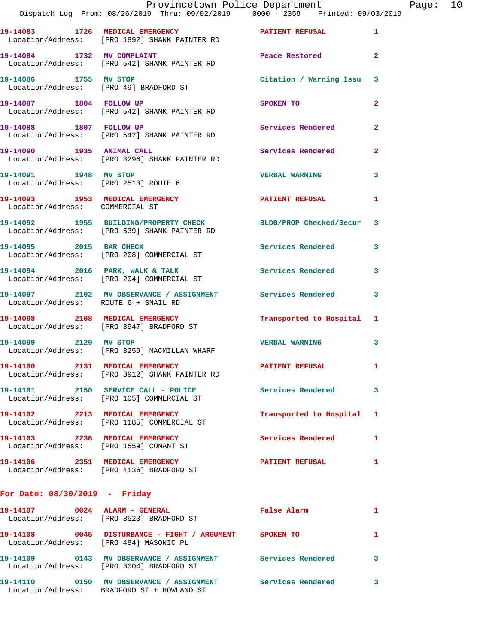|                                                                           | Provincetown Police Department<br>Dispatch Log From: 08/26/2019 Thru: 09/02/2019 0000 - 2359 Printed: 09/03/2019 |                          |                |
|---------------------------------------------------------------------------|------------------------------------------------------------------------------------------------------------------|--------------------------|----------------|
|                                                                           |                                                                                                                  |                          | 1              |
|                                                                           | 19-14084 1732 MV COMPLAINT<br>Location/Address: [PRO 542] SHANK PAINTER RD                                       | Peace Restored           | $\mathbf{2}$   |
| 19-14086 1755 MV STOP                                                     | Location/Address: [PRO 49] BRADFORD ST                                                                           | Citation / Warning Issu  | 3              |
| 19-14087 1804 FOLLOW UP                                                   | Location/Address: [PRO 542] SHANK PAINTER RD                                                                     | SPOKEN TO                | $\overline{a}$ |
|                                                                           | 19-14088 1807 FOLLOW UP<br>Location/Address: [PRO 542] SHANK PAINTER RD                                          | Services Rendered        | $\mathbf{2}$   |
| 19-14090 1935 ANIMAL CALL                                                 | Location/Address: [PRO 3296] SHANK PAINTER RD                                                                    | Services Rendered        | $\overline{a}$ |
| 19-14091 1948 MV STOP<br>Location/Address: [PRO 2513] ROUTE 6             |                                                                                                                  | <b>VERBAL WARNING</b>    | 3              |
| 19-14093 1953 MEDICAL EMERGENCY<br>Location/Address: COMMERCIAL ST        |                                                                                                                  | <b>PATIENT REFUSAL</b>   | 1              |
|                                                                           | 19-14092 1955 BUILDING/PROPERTY CHECK BLDG/PROP Checked/Secur<br>Location/Address: [PRO 539] SHANK PAINTER RD    |                          | 3              |
| 19-14095 2015 BAR CHECK                                                   | Location/Address: [PRO 208] COMMERCIAL ST                                                                        | Services Rendered        | 3              |
|                                                                           | 19-14094 2016 PARK, WALK & TALK<br>Location/Address: [PRO 204] COMMERCIAL ST                                     | <b>Services Rendered</b> | 3              |
| Location/Address: ROUTE 6 + SNAIL RD                                      | 19-14097 2102 MV OBSERVANCE / ASSIGNMENT Services Rendered                                                       |                          | 3              |
|                                                                           | 19-14098 2108 MEDICAL EMERGENCY<br>Location/Address: [PRO 3947] BRADFORD ST                                      | Transported to Hospital  | 1              |
| 19-14099 2129 MV STOP                                                     | Location/Address: [PRO 3259] MACMILLAN WHARF                                                                     | <b>VERBAL WARNING</b>    | 3              |
| 19-14100 2131 MEDICAL EMERGENCY                                           | Location/Address: [PRO 3912] SHANK PAINTER RD                                                                    | <b>PATIENT REFUSAL</b>   | ı.             |
|                                                                           | 19-14101 2150 SERVICE CALL - POLICE<br>Location/Address: [PRO 105] COMMERCIAL ST                                 | <b>Services Rendered</b> | 3              |
|                                                                           | 19-14102 2213 MEDICAL EMERGENCY<br>Location/Address: [PRO 1185] COMMERCIAL ST                                    | Transported to Hospital  | 1              |
| 19-14103 2236 MEDICAL EMERGENCY<br>Location/Address: [PRO 1559] CONANT ST |                                                                                                                  | Services Rendered        | 1              |
|                                                                           | 19-14106 2351 MEDICAL EMERGENCY<br>Location/Address: [PRO 4136] BRADFORD ST                                      | <b>PATIENT REFUSAL</b>   | 1              |
| For Date: $08/30/2019$ - Friday                                           |                                                                                                                  |                          |                |
|                                                                           | Location/Address: [PRO 3523] BRADFORD ST                                                                         | False Alarm              | 1              |
|                                                                           |                                                                                                                  |                          |                |

 Location/Address: [PRO 484] MASONIC PL **19-14109 0143 MV OBSERVANCE / ASSIGNMENT Services Rendered 3**  Location/Address: [PRO 3004] BRADFORD ST **19-14110 0150 MV OBSERVANCE / ASSIGNMENT Services Rendered 3** 

**19-14108 0045 DISTURBANCE - FIGHT / ARGUMENT SPOKEN TO 1** 

Location/Address: BRADFORD ST + HOWLAND ST

Page:  $10$ <br>  $^{19}$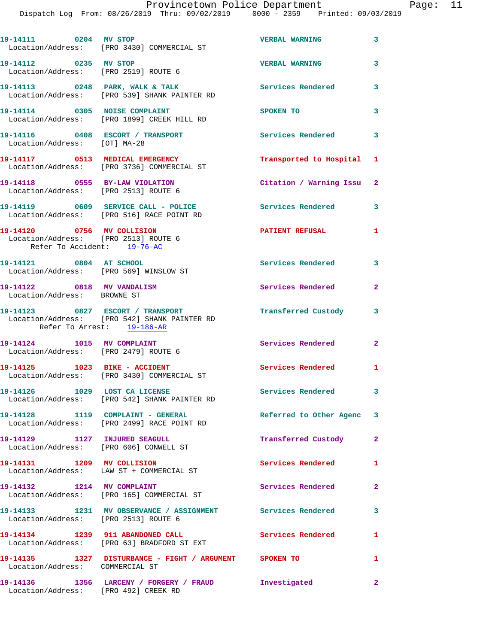| 19-14111 0204 MV STOP                                     | Location/Address: [PRO 3430] COMMERCIAL ST                                                         | <b>VERBAL WARNING</b>     | $\overline{\mathbf{3}}$    |
|-----------------------------------------------------------|----------------------------------------------------------------------------------------------------|---------------------------|----------------------------|
| 19-14112 0235 MV STOP                                     | Location/Address: [PRO 2519] ROUTE 6                                                               | <b>VERBAL WARNING</b>     | 3                          |
|                                                           | 19-14113 0248 PARK, WALK & TALK<br>Location/Address: [PRO 539] SHANK PAINTER RD                    | Services Rendered 3       |                            |
|                                                           | 19-14114 0305 NOISE COMPLAINT<br>Location/Address: [PRO 1899] CREEK HILL RD                        | <b>SPOKEN TO</b>          | 3                          |
| Location/Address: [OT] MA-28                              | 19-14116 0408 ESCORT / TRANSPORT                                                                   | <b>Services Rendered</b>  | $\overline{\phantom{a}}$ 3 |
|                                                           | 19-14117 0513 MEDICAL EMERGENCY<br>Location/Address: [PRO 3736] COMMERCIAL ST                      | Transported to Hospital 1 |                            |
|                                                           | 19-14118 0555 BY-LAW VIOLATION<br>Location/Address: [PRO 2513] ROUTE 6                             | Citation / Warning Issu 2 |                            |
|                                                           | 19-14119 0609 SERVICE CALL - POLICE<br>Location/Address: [PRO 516] RACE POINT RD                   | Services Rendered 3       |                            |
| Refer To Accident: 19-76-AC                               | 19-14120 0756 MV COLLISION<br>Location/Address: [PRO 2513] ROUTE 6                                 | <b>PATIENT REFUSAL</b>    | $\mathbf{1}$               |
| 19-14121 0804 AT SCHOOL                                   | Location/Address: [PRO 569] WINSLOW ST                                                             | Services Rendered 3       |                            |
| 19-14122 0818 MV VANDALISM<br>Location/Address: BROWNE ST |                                                                                                    | Services Rendered         | $\mathbf{2}$               |
| Refer To Arrest: 19-186-AR                                | 19-14123 0827 ESCORT / TRANSPORT<br>Location/Address: [PRO 542] SHANK PAINTER RD                   | Transferred Custody       | 3                          |
|                                                           | 19-14124 1015 MV COMPLAINT<br>Location/Address: [PRO 2479] ROUTE 6                                 | Services Rendered 2       |                            |
|                                                           | 19-14125    1023    BIKE - ACCIDENT<br>Location/Address: [PRO 3430] COMMERCIAL ST                  | Services Rendered 1       |                            |
| 19-14126 1029 LOST CA LICENSE                             | Location/Address: [PRO 542] SHANK PAINTER RD                                                       | Services Rendered         | $\mathbf{3}$               |
|                                                           | 19-14128 1119 COMPLAINT - GENERAL<br>Location/Address: [PRO 2499] RACE POINT RD                    | Referred to Other Agenc 3 |                            |
|                                                           | 19-14129 1127 INJURED SEAGULL<br>Location/Address: [PRO 606] CONWELL ST                            | Transferred Custody       | $\mathbf{2}$               |
|                                                           | 19-14131 1209 MV COLLISION<br>Location/Address: LAW ST + COMMERCIAL ST                             | Services Rendered 1       |                            |
| 19-14132 1214 MV COMPLAINT                                | Location/Address: [PRO 165] COMMERCIAL ST                                                          | Services Rendered         | $\mathbf{2}$               |
|                                                           | 19-14133 1231 MV OBSERVANCE / ASSIGNMENT Services Rendered<br>Location/Address: [PRO 2513] ROUTE 6 |                           | $\overline{\mathbf{3}}$    |
|                                                           | 19-14134 1239 911 ABANDONED CALL<br>Location/Address: [PRO 63] BRADFORD ST EXT                     | <b>Services Rendered</b>  | $\mathbf{1}$               |
| Location/Address: COMMERCIAL ST                           | 19-14135 1327 DISTURBANCE - FIGHT / ARGUMENT SPOKEN TO                                             |                           | $\mathbf{1}$               |
|                                                           | 19-14136 1356 LARCENY / FORGERY / FRAUD Investigated                                               |                           | $\overline{\mathbf{2}}$    |

Location/Address: [PRO 492] CREEK RD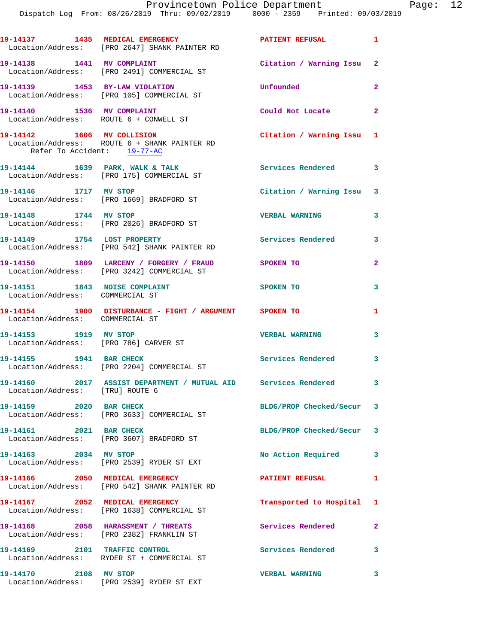|                                                                  | 19-14137 1435 MEDICAL EMERGENCY<br>Location/Address: [PRO 2647] SHANK PAINTER RD                | <b>PATIENT REFUSAL</b>     | 1                          |
|------------------------------------------------------------------|-------------------------------------------------------------------------------------------------|----------------------------|----------------------------|
| 19-14138 1441 MV COMPLAINT                                       | Location/Address: [PRO 2491] COMMERCIAL ST                                                      | Citation / Warning Issu 2  |                            |
|                                                                  | 19-14139 1453 BY-LAW VIOLATION<br>Location/Address: [PRO 105] COMMERCIAL ST                     | Unfounded                  | $\mathbf{2}$               |
| 19-14140 1536 MV COMPLAINT                                       | Location/Address: ROUTE 6 + CONWELL ST                                                          | Could Not Locate 2         |                            |
| Refer To Accident: 19-77-AC                                      | 19-14142 1606 MV COLLISION<br>Location/Address: ROUTE 6 + SHANK PAINTER RD                      | Citation / Warning Issu 1  |                            |
|                                                                  | 19-14144 1639 PARK, WALK & TALK<br>Location/Address: [PRO 175] COMMERCIAL ST                    | <b>Services Rendered</b>   | $\overline{\phantom{a}}$ 3 |
| 19-14146 1717 MV STOP                                            | Location/Address: [PRO 1669] BRADFORD ST                                                        | Citation / Warning Issu 3  |                            |
|                                                                  | 19-14148 1744 MV STOP<br>Location/Address: [PRO 2026] BRADFORD ST                               | <b>VERBAL WARNING</b>      | 3                          |
| 19-14149 1754 LOST PROPERTY                                      | Location/Address: [PRO 542] SHANK PAINTER RD                                                    | <b>Services Rendered</b> 3 |                            |
|                                                                  | 19-14150 1809 LARCENY / FORGERY / FRAUD SPOKEN TO<br>Location/Address: [PRO 3242] COMMERCIAL ST |                            | $\mathbf{2}$               |
| 19-14151 1843 NOISE COMPLAINT<br>Location/Address: COMMERCIAL ST |                                                                                                 | <b>SPOKEN TO</b>           | 3                          |
| Location/Address: COMMERCIAL ST                                  | 19-14154 1900 DISTURBANCE - FIGHT / ARGUMENT SPOKEN TO                                          |                            | 1                          |
| 19-14153 1919 MV STOP<br>Location/Address: [PRO 786] CARVER ST   |                                                                                                 | <b>VERBAL WARNING</b>      | 3                          |
|                                                                  | 19-14155    1941 BAR CHECK<br>Location/Address: [PRO 2204] COMMERCIAL ST                        | Services Rendered          | $\overline{\phantom{a}}$ 3 |
| Location/Address: [TRU] ROUTE 6                                  | 19-14160 2017 ASSIST DEPARTMENT / MUTUAL AID Services Rendered 3                                |                            |                            |
| 19-14159 2020 BAR CHECK                                          | Location/Address: [PRO 3633] COMMERCIAL ST                                                      | BLDG/PROP Checked/Secur 3  |                            |
| 19-14161 2021 BAR CHECK                                          | Location/Address: [PRO 3607] BRADFORD ST                                                        | BLDG/PROP Checked/Secur 3  |                            |
| 19-14163 2034 MV STOP                                            | Location/Address: [PRO 2539] RYDER ST EXT                                                       | No Action Required 3       |                            |
|                                                                  | 19-14166 2050 MEDICAL EMERGENCY<br>Location/Address: [PRO 542] SHANK PAINTER RD                 | PATIENT REFUSAL            | $\mathbf{1}$               |
|                                                                  | 19-14167 2052 MEDICAL EMERGENCY<br>Location/Address: [PRO 1638] COMMERCIAL ST                   | Transported to Hospital 1  |                            |
|                                                                  | 19-14168 2058 HARASSMENT / THREATS<br>Location/Address: [PRO 2382] FRANKLIN ST                  | Services Rendered          | $\mathbf{2}$               |
|                                                                  | 19-14169 2101 TRAFFIC CONTROL<br>Location/Address: RYDER ST + COMMERCIAL ST                     | Services Rendered          | 3                          |
| 19-14170 2108 MV STOP                                            | Location/Address: [PRO 2539] RYDER ST EXT                                                       | <b>VERBAL WARNING</b>      | 3                          |
|                                                                  |                                                                                                 |                            |                            |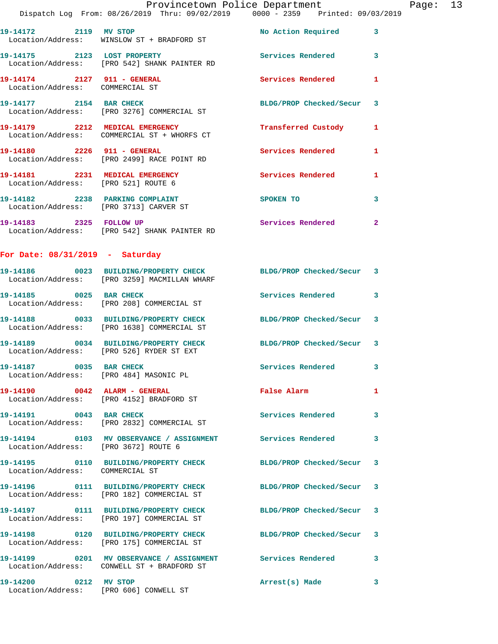|                                                                | Dispatch Log From: 08/26/2019 Thru: 09/02/2019 0000 - 2359 Printed: 09/03/2019                                  | Provincetown Police Department |              | Page: 13 |  |
|----------------------------------------------------------------|-----------------------------------------------------------------------------------------------------------------|--------------------------------|--------------|----------|--|
|                                                                | 19-14172 2119 MV STOP<br>Location/Address: WINSLOW ST + BRADFORD ST                                             | No Action Required 3           |              |          |  |
|                                                                | 19-14175 2123 LOST PROPERTY<br>Location/Address: [PRO 542] SHANK PAINTER RD                                     | Services Rendered 3            |              |          |  |
| 19-14174 2127 911 - GENERAL<br>Location/Address: COMMERCIAL ST |                                                                                                                 | <b>Services Rendered</b>       | -1           |          |  |
|                                                                |                                                                                                                 | BLDG/PROP Checked/Secur 3      |              |          |  |
|                                                                | 19-14179 2212 MEDICAL EMERGENCY<br>Location/Address: COMMERCIAL ST + WHORFS CT                                  | <b>Transferred Custody</b>     | 1            |          |  |
|                                                                | 19-14180 2226 911 - GENERAL<br>Location/Address: [PRO 2499] RACE POINT RD                                       | Services Rendered              | 1            |          |  |
|                                                                | 19-14181 2231 MEDICAL EMERGENCY<br>Location/Address: [PRO 521] ROUTE 6                                          | Services Rendered              | $\mathbf{1}$ |          |  |
| Location/Address: [PRO 3713] CARVER ST                         | 19-14182 2238 PARKING COMPLAINT                                                                                 | SPOKEN TO                      | 3            |          |  |
|                                                                | 19-14183 2325 FOLLOW UP<br>Location/Address: [PRO 542] SHANK PAINTER RD                                         | Services Rendered 2            |              |          |  |
| For Date: $08/31/2019$ - Saturday                              |                                                                                                                 |                                |              |          |  |
|                                                                | 19-14186 0023 BUILDING/PROPERTY CHECK BLDG/PROP Checked/Secur 3<br>Location/Address: [PRO 3259] MACMILLAN WHARF |                                |              |          |  |
|                                                                | 19-14185 0025 BAR CHECK<br>Location/Address: [PRO 208] COMMERCIAL ST                                            | Services Rendered              | 3            |          |  |
|                                                                | 19-14188 0033 BUILDING/PROPERTY CHECK BLDG/PROP Checked/Secur 3<br>Location/Address: [PRO 1638] COMMERCIAL ST   |                                |              |          |  |
|                                                                | 19-14189 0034 BUILDING/PROPERTY CHECK BLDG/PROP Checked/Secur 3<br>Location/Address: [PRO 526] RYDER ST EXT     |                                |              |          |  |
|                                                                | 19-14187 0035 BAR CHECK<br>Location/Address: [PRO 484] MASONIC PL                                               | Services Rendered 3            |              |          |  |
|                                                                | 19-14190 0042 ALARM - GENERAL<br>Location/Address: [PRO 4152] BRADFORD ST                                       | False Alarm                    | 1            |          |  |
|                                                                | 19-14191 0043 BAR CHECK<br>Location/Address: [PRO 2832] COMMERCIAL ST                                           | Services Rendered              | 3            |          |  |
| Location/Address: [PRO 3672] ROUTE 6                           | 19-14194 0103 MV OBSERVANCE / ASSIGNMENT Services Rendered                                                      |                                | 3            |          |  |
| Location/Address: COMMERCIAL ST                                | 19-14195   0110 BUILDING/PROPERTY CHECK BLDG/PROP Checked/Secur 3                                               |                                |              |          |  |
|                                                                | 19-14196   0111 BUILDING/PROPERTY CHECK BLDG/PROP Checked/Secur 3<br>Location/Address: [PRO 182] COMMERCIAL ST  |                                |              |          |  |
|                                                                | 19-14197 0111 BUILDING/PROPERTY CHECK BLDG/PROP Checked/Secur 3<br>Location/Address: [PRO 197] COMMERCIAL ST    |                                |              |          |  |
|                                                                | 19-14198 0120 BUILDING/PROPERTY CHECK<br>Location/Address: [PRO 175] COMMERCIAL ST                              | BLDG/PROP Checked/Secur        | -3           |          |  |
|                                                                | 19-14199 0201 MV OBSERVANCE / ASSIGNMENT Services Rendered 3<br>Location/Address: CONWELL ST + BRADFORD ST      |                                |              |          |  |
| 19-14200 0212 MV STOP                                          | Location/Address: [PRO 606] CONWELL ST                                                                          | Arrest(s) Made                 | 3            |          |  |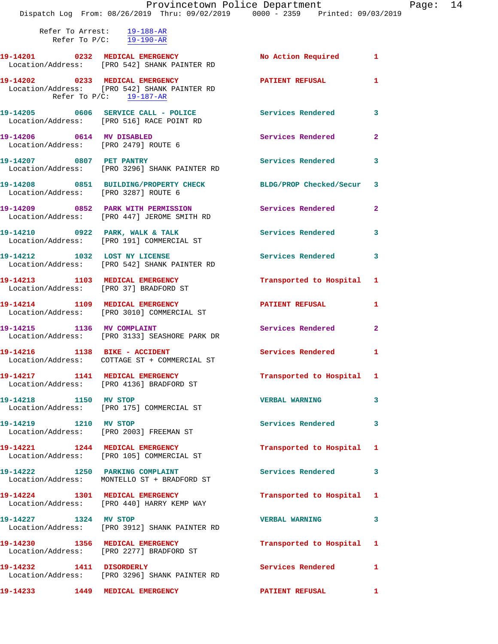|                                                                   | Provincetown Police Department<br>Dispatch Log From: 08/26/2019 Thru: 09/02/2019 0000 - 2359 Printed: 09/03/2019 |                           |              |
|-------------------------------------------------------------------|------------------------------------------------------------------------------------------------------------------|---------------------------|--------------|
| Refer To Arrest: 19-188-AR                                        |                                                                                                                  |                           |              |
|                                                                   | Refer To $P/C$ : $19-190-R$                                                                                      |                           |              |
|                                                                   | 19-14201 0232 MEDICAL EMERGENCY No Action Required 1<br>Location/Address: [PRO 542] SHANK PAINTER RD             |                           |              |
|                                                                   | 19-14202 0233 MEDICAL EMERGENCY<br>Location/Address: [PRO 542] SHANK PAINTER RD<br>Refer To $P/C$ : 19-187-AR    | PATIENT REFUSAL           | $\mathbf{1}$ |
|                                                                   | 19-14205 0606 SERVICE CALL - POLICE 3 Services Rendered<br>Location/Address: [PRO 516] RACE POINT RD             |                           | $\mathbf{3}$ |
| 19-14206 0614 MV DISABLED<br>Location/Address: [PRO 2479] ROUTE 6 |                                                                                                                  | Services Rendered         | $\mathbf{2}$ |
|                                                                   | 19-14207 0807 PET PANTRY<br>Location/Address: [PRO 3296] SHANK PAINTER RD                                        | Services Rendered         | 3            |
| Location/Address: [PRO 3287] ROUTE 6                              | 19-14208 0851 BUILDING/PROPERTY CHECK BLDG/PROP Checked/Secur 3                                                  |                           |              |
|                                                                   | 19-14209 0852 PARK WITH PERMISSION<br>Location/Address: [PRO 447] JEROME SMITH RD                                | Services Rendered         | $\mathbf{2}$ |
|                                                                   | $19-14210$ 0922 PARK, WALK & TALK<br>Location/Address: [PRO 191] COMMERCIAL ST                                   | Services Rendered         | 3            |
|                                                                   | 19-14212 1032 LOST NY LICENSE<br>Location/Address: [PRO 542] SHANK PAINTER RD                                    | Services Rendered         | $\mathbf{3}$ |
|                                                                   | 19-14213 1103 MEDICAL EMERGENCY<br>Location/Address: [PRO 37] BRADFORD ST                                        | Transported to Hospital 1 |              |
|                                                                   | 19-14214 1109 MEDICAL EMERGENCY<br>Location/Address: [PRO 3010] COMMERCIAL ST                                    | PATIENT REFUSAL           | 1            |
|                                                                   | 19-14215 1136 MV COMPLAINT<br>Location/Address: [PRO 3133] SEASHORE PARK DR                                      | Services Rendered         | $\mathbf{2}$ |
| 19-14216 1138 BIKE - ACCIDENT                                     | Location/Address: COTTAGE ST + COMMERCIAL ST                                                                     | Services Rendered 1       |              |
|                                                                   | 19-14217 1141 MEDICAL EMERGENCY<br>Location/Address: [PRO 4136] BRADFORD ST                                      | Transported to Hospital 1 |              |
| 19-14218 1150 MV STOP                                             | Location/Address: [PRO 175] COMMERCIAL ST                                                                        | <b>VERBAL WARNING</b>     | 3            |
| 19-14219 1210 MV STOP                                             | Location/Address: [PRO 2003] FREEMAN ST                                                                          | Services Rendered         | 3            |
|                                                                   | 19-14221 1244 MEDICAL EMERGENCY<br>Location/Address: [PRO 105] COMMERCIAL ST                                     | Transported to Hospital 1 |              |
|                                                                   | 19-14222 1250 PARKING COMPLAINT<br>Location/Address: MONTELLO ST + BRADFORD ST                                   | <b>Services Rendered</b>  | 3            |
|                                                                   | 19-14224 1301 MEDICAL EMERGENCY<br>Location/Address: [PRO 440] HARRY KEMP WAY                                    | Transported to Hospital 1 |              |
| 19-14227 1324 MV STOP                                             | Location/Address: [PRO 3912] SHANK PAINTER RD                                                                    | <b>VERBAL WARNING</b>     | 3            |
|                                                                   | 19-14230 1356 MEDICAL EMERGENCY<br>Location/Address: [PRO 2277] BRADFORD ST                                      | Transported to Hospital 1 |              |
| 19-14232 1411 DISORDERLY                                          | Location/Address: [PRO 3296] SHANK PAINTER RD                                                                    | Services Rendered         | 1            |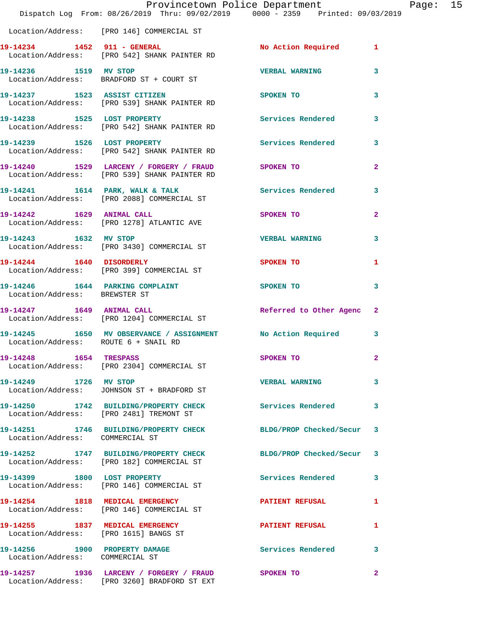|                                                                  | Provincetown Police Department<br>Dispatch Log From: 08/26/2019 Thru: 09/02/2019 0000 - 2359 Printed: 09/03/2019 |                           |              | Page: 15 |  |
|------------------------------------------------------------------|------------------------------------------------------------------------------------------------------------------|---------------------------|--------------|----------|--|
|                                                                  | Location/Address: [PRO 146] COMMERCIAL ST                                                                        |                           |              |          |  |
|                                                                  | 19-14234 1452 911 - GENERAL<br>Location/Address: [PRO 542] SHANK PAINTER RD                                      | No Action Required 1      |              |          |  |
| 19-14236 1519 MV STOP                                            | Location/Address: BRADFORD ST + COURT ST                                                                         | <b>VERBAL WARNING</b> 3   |              |          |  |
|                                                                  | 19-14237 1523 ASSIST CITIZEN<br>Location/Address: [PRO 539] SHANK PAINTER RD                                     | SPOKEN TO                 | 3            |          |  |
|                                                                  | 19-14238 1525 LOST PROPERTY<br>Location/Address: [PRO 542] SHANK PAINTER RD                                      | Services Rendered         | $\mathbf{3}$ |          |  |
|                                                                  | 19-14239 1526 LOST PROPERTY<br>Location/Address: [PRO 542] SHANK PAINTER RD                                      | Services Rendered 3       |              |          |  |
|                                                                  | 19-14240 1529 LARCENY / FORGERY / FRAUD SPOKEN TO<br>Location/Address: [PRO 539] SHANK PAINTER RD                |                           | $\mathbf{2}$ |          |  |
|                                                                  | 19-14241 1614 PARK, WALK & TALK 1999 Services Rendered 3<br>Location/Address: [PRO 2088] COMMERCIAL ST           |                           |              |          |  |
|                                                                  | 19-14242 1629 ANIMAL CALL<br>Location/Address: [PRO 1278] ATLANTIC AVE                                           | SPOKEN TO                 | $\mathbf{2}$ |          |  |
| 19-14243 1632 MV STOP                                            | Location/Address: [PRO 3430] COMMERCIAL ST                                                                       | <b>VERBAL WARNING 3</b>   |              |          |  |
|                                                                  | 19-14244 1640 DISORDERLY<br>Location/Address: [PRO 399] COMMERCIAL ST                                            | <b>SPOKEN TO</b>          | 1            |          |  |
| Location/Address: BREWSTER ST                                    | 19-14246 1644 PARKING COMPLAINT SPOKEN TO                                                                        |                           | 3            |          |  |
|                                                                  | 19-14247 1649 ANIMAL CALL<br>Location/Address: [PRO 1204] COMMERCIAL ST                                          | Referred to Other Agenc 2 |              |          |  |
| Location/Address: ROUTE 6 + SNAIL RD                             | 19-14245 1650 MV OBSERVANCE / ASSIGNMENT No Action Required 3                                                    |                           |              |          |  |
| 19-14248 1654 TRESPASS                                           | Location/Address: [PRO 2304] COMMERCIAL ST                                                                       | SPOKEN TO                 | $\mathbf{2}$ |          |  |
| 19-14249 1726 MV STOP                                            | Location/Address: JOHNSON ST + BRADFORD ST                                                                       | <b>VERBAL WARNING</b>     | 3            |          |  |
|                                                                  | 19-14250 1742 BUILDING/PROPERTY CHECK Services Rendered<br>Location/Address: [PRO 2481] TREMONT ST               |                           | 3            |          |  |
| Location/Address: COMMERCIAL ST                                  | 19-14251 1746 BUILDING/PROPERTY CHECK BLDG/PROP Checked/Secur 3                                                  |                           |              |          |  |
|                                                                  | 19-14252 1747 BUILDING/PROPERTY CHECK BLDG/PROP Checked/Secur 3<br>Location/Address: [PRO 182] COMMERCIAL ST     |                           |              |          |  |
|                                                                  | 19-14399 1800 LOST PROPERTY<br>Location/Address: [PRO 146] COMMERCIAL ST                                         | Services Rendered 3       |              |          |  |
|                                                                  | 19-14254 1818 MEDICAL EMERGENCY<br>Location/Address: [PRO 146] COMMERCIAL ST                                     | <b>PATIENT REFUSAL</b>    | 1            |          |  |
|                                                                  | 19-14255 1837 MEDICAL EMERGENCY<br>Location/Address: [PRO 1615] BANGS ST                                         | PATIENT REFUSAL           | 1            |          |  |
| 19-14256 1900 PROPERTY DAMAGE<br>Location/Address: COMMERCIAL ST |                                                                                                                  | <b>Services Rendered</b>  | 3            |          |  |
|                                                                  | 19-14257 1936 LARCENY / FORGERY / FRAUD SPOKEN TO<br>Location/Address: [PRO 3260] BRADFORD ST EXT                |                           | $\mathbf{2}$ |          |  |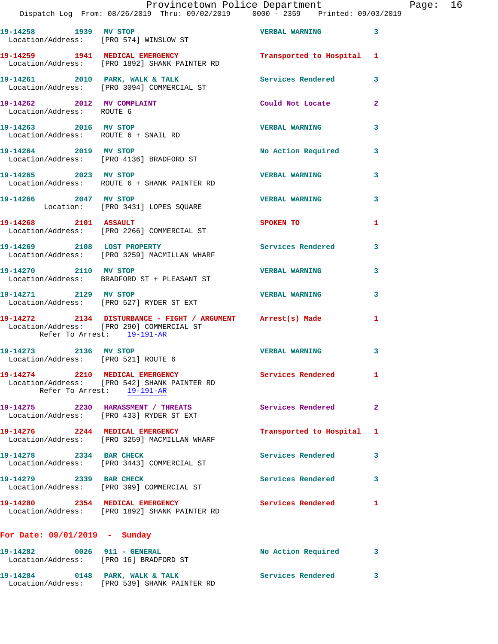|                                      | Provincetown Police Department<br>Dispatch Log From: 08/26/2019 Thru: 09/02/2019 0000 - 2359 Printed: 09/03/2019 |                                                                                                                |              | Page: 16 |  |
|--------------------------------------|------------------------------------------------------------------------------------------------------------------|----------------------------------------------------------------------------------------------------------------|--------------|----------|--|
|                                      | 19-14258 1939 MV STOP<br>Location/Address: [PRO 574] WINSLOW ST                                                  | VERBAL WARNING 3                                                                                               |              |          |  |
|                                      | 19-14259 1941 MEDICAL EMERGENCY<br>Location/Address: [PRO 1892] SHANK PAINTER RD                                 | Transported to Hospital 1                                                                                      |              |          |  |
|                                      | 19-14261 2010 PARK, WALK & TALK Services Rendered 3<br>Location/Address: [PRO 3094] COMMERCIAL ST                |                                                                                                                |              |          |  |
| Location/Address: ROUTE 6            | 19-14262 2012 MV COMPLAINT                                                                                       | Could Not Locate 2                                                                                             |              |          |  |
| Location/Address: ROUTE 6 + SNAIL RD | 19-14263 2016 MV STOP                                                                                            | <b>VERBAL WARNING</b>                                                                                          | $\mathbf{3}$ |          |  |
| 19-14264 2019 MV STOP                | Location/Address: [PRO 4136] BRADFORD ST                                                                         | No Action Required 3                                                                                           |              |          |  |
|                                      | 19-14265 2023 MV STOP<br>Location/Address: ROUTE 6 + SHANK PAINTER RD                                            | <b>VERBAL WARNING</b>                                                                                          | $\mathbf{3}$ |          |  |
| 19-14266 2047 MV STOP                | Location: [PRO 3431] LOPES SQUARE                                                                                | VERBAL WARNING                                                                                                 | $\mathbf{3}$ |          |  |
|                                      | 19-14268 2101 ASSAULT<br>Location/Address: [PRO 2266] COMMERCIAL ST                                              | SPOKEN TO THE STREET OF THE STREET OF THE STREET OF THE STREET OF THE STREET OF THE STREET OF THE STREET OF TH | $\mathbf{1}$ |          |  |
|                                      | 19-14269 2108 LOST PROPERTY<br>Location/Address: [PRO 3259] MACMILLAN WHARF                                      | Services Rendered                                                                                              | $\mathbf{3}$ |          |  |
|                                      | 19-14270 2110 MV STOP<br>Location/Address: BRADFORD ST + PLEASANT ST                                             | <b>VERBAL WARNING</b>                                                                                          | $\mathbf{3}$ |          |  |
|                                      | 19-14271 2129 MV STOP<br>Location/Address: [PRO 527] RYDER ST EXT                                                | <b>VERBAL WARNING</b>                                                                                          | 3            |          |  |
| Refer To Arrest: 19-191-AR           | 19-14272 2134 DISTURBANCE - FIGHT / ARGUMENT Arrest(s) Made 1<br>Location/Address: [PRO 290] COMMERCIAL ST       |                                                                                                                |              |          |  |
| Location/Address: [PRO 521] ROUTE 6  | 19-14273 2136 MV STOP                                                                                            | VERBAL WARNING                                                                                                 | 3            |          |  |
|                                      | 19-14274 2210 MEDICAL EMERGENCY<br>Location/Address: [PRO 542] SHANK PAINTER RD<br>Refer To Arrest: 19-191-AR    | Services Rendered 1                                                                                            |              |          |  |
|                                      | 19-14275 2230 HARASSMENT / THREATS<br>Location/Address: [PRO 433] RYDER ST EXT                                   | Services Rendered 2                                                                                            |              |          |  |
|                                      | 19-14276 2244 MEDICAL EMERGENCY<br>Location/Address: [PRO 3259] MACMILLAN WHARF                                  | Transported to Hospital 1                                                                                      |              |          |  |
|                                      | 19-14278 2334 BAR CHECK<br>Location/Address: [PRO 3443] COMMERCIAL ST                                            | Services Rendered 3                                                                                            |              |          |  |
| 19-14279 2339 BAR CHECK              | Location/Address: [PRO 399] COMMERCIAL ST                                                                        | Services Rendered 3                                                                                            |              |          |  |
|                                      | 19-14280 2354 MEDICAL EMERGENCY<br>Location/Address: [PRO 1892] SHANK PAINTER RD                                 | Services Rendered 1                                                                                            |              |          |  |
| For Date: $09/01/2019$ - Sunday      |                                                                                                                  |                                                                                                                |              |          |  |
|                                      | 19-14282 0026 911 - GENERAL<br>Location/Address: [PRO 16] BRADFORD ST                                            | No Action Required 3                                                                                           |              |          |  |
|                                      | 19-14284 0148 PARK, WALK & TALK 6 Services Rendered 3<br>Location/Address: [PRO 539] SHANK PAINTER RD            |                                                                                                                |              |          |  |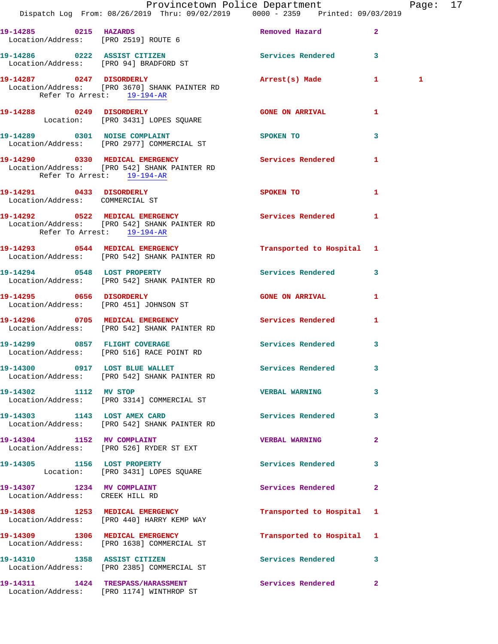|                                                               | Dispatch Log From: 08/26/2019 Thru: 09/02/2019 0000 - 2359 Printed: 09/03/2019                      | Provincetown Police Department Page: 17                                                                        |              |   |  |
|---------------------------------------------------------------|-----------------------------------------------------------------------------------------------------|----------------------------------------------------------------------------------------------------------------|--------------|---|--|
|                                                               |                                                                                                     |                                                                                                                |              |   |  |
|                                                               | 19-14285 0215 HAZARDS<br>Location/Address: [PRO 2519] ROUTE 6                                       | Removed Hazard 2                                                                                               |              |   |  |
|                                                               | 19-14286 0222 ASSIST CITIZEN Services Rendered 3<br>Location/Address: [PRO 94] BRADFORD ST          |                                                                                                                |              |   |  |
| Refer To Arrest: 19-194-AR                                    | 19-14287 0247 DISORDERLY<br>Location/Address: [PRO 3670] SHANK PAINTER RD                           | Arrest(s) Made 1                                                                                               |              | 1 |  |
|                                                               | 19-14288 0249 DISORDERLY<br>Location: [PRO 3431] LOPES SQUARE                                       | <b>GONE ON ARRIVAL</b>                                                                                         | 1            |   |  |
|                                                               | 19-14289 0301 NOISE COMPLAINT<br>Location/Address: [PRO 2977] COMMERCIAL ST                         | <b>SPOKEN TO</b>                                                                                               | 3            |   |  |
| Refer To Arrest: 19-194-AR                                    | 19-14290 0330 MEDICAL EMERGENCY Services Rendered<br>Location/Address: [PRO 542] SHANK PAINTER RD   |                                                                                                                | 1            |   |  |
| Location/Address: COMMERCIAL ST                               | 19-14291 0433 DISORDERLY                                                                            | SPOKEN TO AND TO A RESIDENCE OF A RESIDENCE OF A RESIDENCE OF A RESIDENCE OF A RESIDENCE OF A RESIDENCE OF A R | $\mathbf{1}$ |   |  |
| Refer To Arrest: 19-194-AR                                    | 19-14292 0522 MEDICAL EMERGENCY<br>Location/Address: [PRO 542] SHANK PAINTER RD                     | Services Rendered 1                                                                                            |              |   |  |
|                                                               | 19-14293 0544 MEDICAL EMERGENCY<br>Location/Address: [PRO 542] SHANK PAINTER RD                     | Transported to Hospital 1                                                                                      |              |   |  |
|                                                               | 19-14294 0548 LOST PROPERTY<br>Location/Address: [PRO 542] SHANK PAINTER RD                         | Services Rendered 3                                                                                            |              |   |  |
|                                                               | 19-14295 0656 DISORDERLY<br>Location/Address: [PRO 451] JOHNSON ST                                  | <b>GONE ON ARRIVAL</b>                                                                                         | $\mathbf{1}$ |   |  |
|                                                               | 19-14296 0705 MEDICAL EMERGENCY Services Rendered 1<br>Location/Address: [PRO 542] SHANK PAINTER RD |                                                                                                                |              |   |  |
|                                                               | 19-14299 0857 FLIGHT COVERAGE<br>Location/Address: [PRO 516] RACE POINT RD                          | Services Rendered                                                                                              | 3            |   |  |
|                                                               | 19-14300 0917 LOST BLUE WALLET<br>Location/Address: [PRO 542] SHANK PAINTER RD                      | Services Rendered                                                                                              | 3            |   |  |
| 19-14302 1112 MV STOP                                         | Location/Address: [PRO 3314] COMMERCIAL ST                                                          | VERBAL WARNING 3                                                                                               |              |   |  |
|                                                               | 19-14303 1143 LOST AMEX CARD<br>Location/Address: [PRO 542] SHANK PAINTER RD                        | Services Rendered 3                                                                                            |              |   |  |
|                                                               | 19-14304 1152 MV COMPLAINT<br>Location/Address: [PRO 526] RYDER ST EXT                              | <b>VERBAL WARNING</b>                                                                                          | $\mathbf{2}$ |   |  |
|                                                               | 19-14305 1156 LOST PROPERTY<br>Location: [PRO 3431] LOPES SQUARE                                    | Services Rendered 3                                                                                            |              |   |  |
| 19-14307 1234 MV COMPLAINT<br>Location/Address: CREEK HILL RD |                                                                                                     | Services Rendered                                                                                              | $\mathbf{2}$ |   |  |
|                                                               | 19-14308 1253 MEDICAL EMERGENCY<br>Location/Address: [PRO 440] HARRY KEMP WAY                       | Transported to Hospital 1                                                                                      |              |   |  |
|                                                               | 19-14309 1306 MEDICAL EMERGENCY<br>Location/Address: [PRO 1638] COMMERCIAL ST                       | Transported to Hospital 1                                                                                      |              |   |  |
|                                                               | 19-14310 1358 ASSIST CITIZEN<br>Location/Address: [PRO 2385] COMMERCIAL ST                          | Services Rendered 3                                                                                            |              |   |  |
|                                                               | 19-14311 1424 TRESPASS/HARASSMENT<br>Location/Address: [PRO 1174] WINTHROP ST                       | Services Rendered                                                                                              | $\mathbf{2}$ |   |  |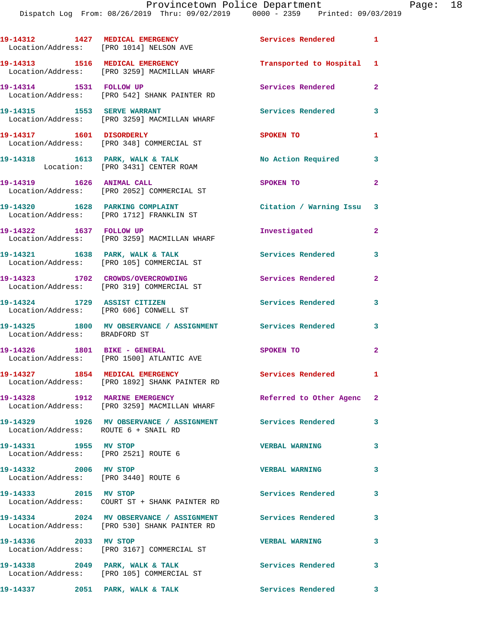|                                                                        | 19-14312 1427 MEDICAL EMERGENCY<br>Location/Address: [PRO 1014] NELSON AVE                                 | Services Rendered 1        |                |
|------------------------------------------------------------------------|------------------------------------------------------------------------------------------------------------|----------------------------|----------------|
|                                                                        | 19-14313 1516 MEDICAL EMERGENCY<br>Location/Address: [PRO 3259] MACMILLAN WHARF                            | Transported to Hospital 1  |                |
| 19-14314 1531 FOLLOW UP                                                | Location/Address: [PRO 542] SHANK PAINTER RD                                                               | Services Rendered          | $\overline{2}$ |
| 19-14315    1553    SERVE WARRANT                                      | Location/Address: [PRO 3259] MACMILLAN WHARF                                                               | Services Rendered          | $\mathbf{3}$   |
| 19-14317 1601 DISORDERLY                                               | Location/Address: [PRO 348] COMMERCIAL ST                                                                  | SPOKEN TO                  | $\mathbf{1}$   |
|                                                                        | 19-14318 1613 PARK, WALK & TALK<br>Location: [PRO 3431] CENTER ROAM                                        | No Action Required         | 3              |
| 19-14319 1626 ANIMAL CALL                                              | Location/Address: [PRO 2052] COMMERCIAL ST                                                                 | SPOKEN TO                  | $\mathbf{2}$   |
|                                                                        | 19-14320 1628 PARKING COMPLAINT<br>Location/Address: [PRO 1712] FRANKLIN ST                                | Citation / Warning Issu 3  |                |
| 19-14322 1637 FOLLOW UP                                                | Location/Address: [PRO 3259] MACMILLAN WHARF                                                               | Investigated               | $\overline{2}$ |
|                                                                        | 19-14321 1638 PARK, WALK & TALK<br>Location/Address: [PRO 105] COMMERCIAL ST                               | Services Rendered          | 3              |
|                                                                        | 19-14323 1702 CROWDS/OVERCROWDING<br>Location/Address: [PRO 319] COMMERCIAL ST                             | Services Rendered          | $\overline{2}$ |
| 19-14324 1729 ASSIST CITIZEN<br>Location/Address: [PRO 606] CONWELL ST |                                                                                                            | Services Rendered          | 3              |
| Location/Address: BRADFORD ST                                          | 19-14325 1800 MV OBSERVANCE / ASSIGNMENT Services Rendered                                                 |                            | 3              |
| 19-14326 1801 BIKE - GENERAL                                           | Location/Address: [PRO 1500] ATLANTIC AVE                                                                  | SPOKEN TO                  | $\overline{2}$ |
|                                                                        | 19-14327 1854 MEDICAL EMERGENCY<br>Location/Address: [PRO 1892] SHANK PAINTER RD                           | <b>Services Rendered</b> 1 |                |
|                                                                        | 19-14328 1912 MARINE EMERGENCY<br>Location/Address: [PRO 3259] MACMILLAN WHARF                             | Referred to Other Agenc 2  |                |
| Location/Address: ROUTE 6 + SNAIL RD                                   | 19-14329 1926 MV OBSERVANCE / ASSIGNMENT Services Rendered                                                 |                            | 3              |
| 19-14331 1955 MV STOP<br>Location/Address: [PRO 2521] ROUTE 6          |                                                                                                            | <b>VERBAL WARNING</b>      | 3              |
| 19-14332 2006 MV STOP<br>Location/Address: [PRO 3440] ROUTE 6          |                                                                                                            | <b>VERBAL WARNING</b>      | 3              |
| 19-14333 2015 MV STOP                                                  | Location/Address: COURT ST + SHANK PAINTER RD                                                              | Services Rendered          | 3              |
|                                                                        | 19-14334 2024 MV OBSERVANCE / ASSIGNMENT Services Rendered<br>Location/Address: [PRO 530] SHANK PAINTER RD |                            | 3              |
| 19-14336 2033 MV STOP                                                  | Location/Address: [PRO 3167] COMMERCIAL ST                                                                 | <b>VERBAL WARNING</b>      | 3              |
|                                                                        | 19-14338 2049 PARK, WALK & TALK<br>Location/Address: [PRO 105] COMMERCIAL ST                               | <b>Services Rendered</b>   | 3              |
| 19-14337 2051 PARK, WALK & TALK                                        |                                                                                                            | Services Rendered 3        |                |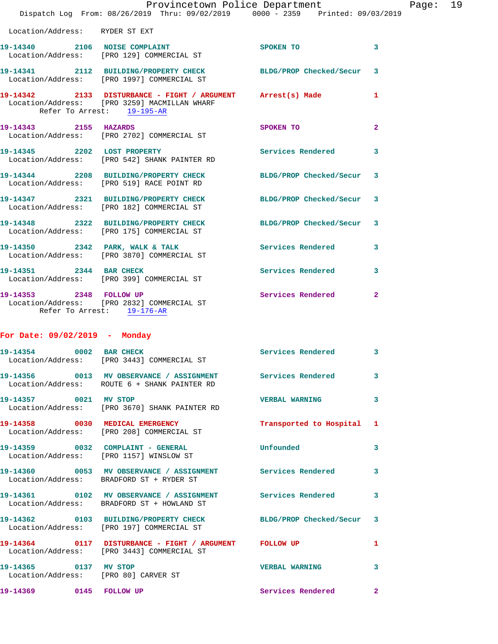|                                |                                                                                                             | Provincetown Police Department |              |
|--------------------------------|-------------------------------------------------------------------------------------------------------------|--------------------------------|--------------|
|                                | Dispatch Log From: 08/26/2019 Thru: 09/02/2019 0000 - 2359 Printed: 09/03/2019                              |                                |              |
| Location/Address: RYDER ST EXT |                                                                                                             |                                |              |
|                                | 19-14340 2106 NOISE COMPLAINT<br>Location/Address: [PRO 129] COMMERCIAL ST                                  | <b>SPOKEN TO</b>               | 3            |
|                                | 19-14341 2112 BUILDING/PROPERTY CHECK BLDG/PROP Checked/Secur<br>Location/Address: [PRO 1997] COMMERCIAL ST |                                | 3            |
| Refer To Arrest: 19-195-AR     | 19-14342 2133 DISTURBANCE - FIGHT / ARGUMENT Arrest(s) Made<br>Location/Address: [PRO 3259] MACMILLAN WHARF |                                | 1            |
| 19-14343 2155 HAZARDS          | Location/Address: [PRO 2702] COMMERCIAL ST                                                                  | SPOKEN TO                      | $\mathbf{2}$ |
|                                | 19-14345 2202 LOST PROPERTY<br>Location/Address: [PRO 542] SHANK PAINTER RD                                 | <b>Services Rendered</b>       | 3            |
|                                | 19-14344 2208 BUILDING/PROPERTY CHECK<br>Location/Address: [PRO 519] RACE POINT RD                          | BLDG/PROP Checked/Secur        | 3            |
|                                | 19-14347 2321 BUILDING/PROPERTY CHECK BLDG/PROP Checked/Secur<br>Location/Address: [PRO 182] COMMERCIAL ST  |                                | 3            |
|                                | 19-14348 2322 BUILDING/PROPERTY CHECK<br>Location/Address: [PRO 175] COMMERCIAL ST                          | BLDG/PROP Checked/Secur        | 3            |
|                                | 19-14350 2342 PARK, WALK & TALK Services Rendered<br>Location/Address: [PRO 3870] COMMERCIAL ST             |                                | 3            |
| 19-14351 2344 BAR CHECK        | Location/Address: [PRO 399] COMMERCIAL ST                                                                   | Services Rendered              | 3            |
| 19-14353 2348 FOLLOW UP        | Location/Address: [PRO 2832] COMMERCIAL ST<br>Refer To Arrest: 19-176-AR                                    | <b>Services Rendered</b>       | $\mathbf{2}$ |
| For Date: 09/02/2019 - Monday  |                                                                                                             |                                |              |
|                                | 19-14354 0002 BAR CHECK<br>Location/Address: [PRO 3443] COMMERCIAL ST                                       | <b>Services Rendered</b>       | 3            |
|                                | 19-14356 0013 MV OBSERVANCE / ASSIGNMENT Services Rendered<br>Location/Address: ROUTE 6 + SHANK PAINTER RD  |                                | 3            |
| 19-14357 0021 MV STOP          | Location/Address: [PRO 3670] SHANK PAINTER RD                                                               | <b>VERBAL WARNING</b>          | 3            |
|                                | 19-14358 0030 MEDICAL EMERGENCY<br>Location/Address: [PRO 208] COMMERCIAL ST                                | Transported to Hospital        | 1            |
|                                | 19-14359 0032 COMPLAINT - GENERAL<br>Location/Address: [PRO 1157] WINSLOW ST                                | Unfounded                      | 3            |
|                                | 19-14360 0053 MV OBSERVANCE / ASSIGNMENT Services Rendered<br>Location/Address: BRADFORD ST + RYDER ST      |                                | 3            |
|                                | 19-14361 0102 MV OBSERVANCE / ASSIGNMENT Services Rendered<br>Location/Address: BRADFORD ST + HOWLAND ST    |                                | 3            |
|                                | 19-14362 0103 BUILDING/PROPERTY CHECK BLDG/PROP Checked/Secur<br>Location/Address: [PRO 197] COMMERCIAL ST  |                                | 3            |
|                                | 19-14364 0117 DISTURBANCE - FIGHT / ARGUMENT FOLLOW UP<br>Location/Address: [PRO 3443] COMMERCIAL ST        |                                | 1            |
| 19-14365 0137 MV STOP          | Location/Address: [PRO 80] CARVER ST                                                                        | <b>VERBAL WARNING</b>          | 3            |
| 19-14369 0145 FOLLOW UP        |                                                                                                             | Services Rendered              | $\mathbf{2}$ |

Page: 19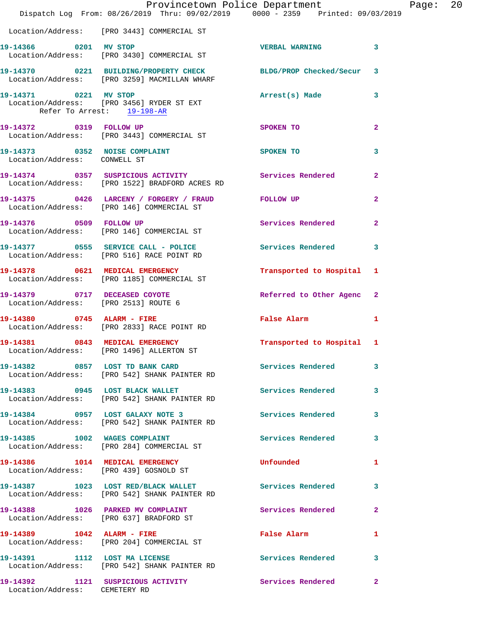|                                                     | Provincetown Police Department Page: 20<br>Dispatch Log From: 08/26/2019 Thru: 09/02/2019 0000 - 2359 Printed: 09/03/2019 |                                             |              |  |
|-----------------------------------------------------|---------------------------------------------------------------------------------------------------------------------------|---------------------------------------------|--------------|--|
|                                                     | Location/Address: [PRO 3443] COMMERCIAL ST                                                                                |                                             |              |  |
| 19-14366 0201 MV STOP                               | Location/Address: [PRO 3430] COMMERCIAL ST                                                                                | VERBAL WARNING 3                            |              |  |
|                                                     | 19-14370 0221 BUILDING/PROPERTY CHECK BLDG/PROP Checked/Secur 3<br>Location/Address: [PRO 3259] MACMILLAN WHARF           |                                             |              |  |
| 19-14371 0221 MV STOP<br>Refer To Arrest: 19-198-AR | Location/Address: [PRO 3456] RYDER ST EXT                                                                                 | Arrest(s) Made 3                            |              |  |
|                                                     | 19-14372 0319 FOLLOW UP<br>Location/Address: [PRO 3443] COMMERCIAL ST                                                     | SPOKEN TO                                   | $\mathbf{2}$ |  |
| Location/Address: CONWELL ST                        | 19-14373 0352 NOISE COMPLAINT SPOKEN TO                                                                                   |                                             | 3            |  |
|                                                     | 19-14374   0357   SUSPICIOUS ACTIVITY   Services Rendered<br>Location/Address: [PRO 1522] BRADFORD ACRES RD               |                                             | $\mathbf{2}$ |  |
|                                                     | 19-14375  0426   LARCENY   / FORGERY   / FRAUD   FOLLOW UP<br>Location/Address: [PRO 146] COMMERCIAL ST                   |                                             | $\mathbf{2}$ |  |
|                                                     | Location/Address: [PRO 146] COMMERCIAL ST                                                                                 | Services Rendered                           | $\mathbf{2}$ |  |
|                                                     | 19-14377 0555 SERVICE CALL - POLICE 3 Services Rendered 3<br>Location/Address: [PRO 516] RACE POINT RD                    |                                             |              |  |
|                                                     | 19-14378 0621 MEDICAL EMERGENCY<br>Location/Address: [PRO 1185] COMMERCIAL ST                                             | Transported to Hospital 1                   |              |  |
|                                                     | 19-14379 0717 DECEASED COYOTE<br>Location/Address: [PRO 2513] ROUTE 6                                                     | Referred to Other Agenc 2                   |              |  |
|                                                     | 19-14380 0745 ALARM - FIRE<br>Location/Address: [PRO 2833] RACE POINT RD                                                  | False Alarm 1                               |              |  |
|                                                     | 19-14381 0843 MEDICAL EMERGENCY<br>Location/Address: [PRO 1496] ALLERTON ST                                               | Transported to Hospital 1                   |              |  |
|                                                     | 19-14382 0857 LOST TD BANK CARD<br>Location/Address: [PRO 542] SHANK PAINTER RD                                           | Services Rendered                           |              |  |
|                                                     | 19-14383 0945 LOST BLACK WALLET Services Rendered 3<br>Location/Address: [PRO 542] SHANK PAINTER RD                       |                                             |              |  |
|                                                     | 19-14384 0957 LOST GALAXY NOTE 3<br>Location/Address: [PRO 542] SHANK PAINTER RD                                          | Services Rendered 3                         |              |  |
|                                                     | 19-14385 1002 WAGES COMPLAINT<br>Location/Address: [PRO 284] COMMERCIAL ST                                                | Services Rendered 3                         |              |  |
|                                                     | 19-14386 1014 MEDICAL EMERGENCY<br>Location/Address: [PRO 439] GOSNOLD ST                                                 | Unfounded                                   | 1            |  |
|                                                     | 19-14387 1023 LOST RED/BLACK WALLET Services Rendered 3<br>Location/Address: [PRO 542] SHANK PAINTER RD                   |                                             |              |  |
|                                                     | 19-14388 1026 PARKED MV COMPLAINT<br>Location/Address: [PRO 637] BRADFORD ST                                              | Services Rendered 2                         |              |  |
|                                                     | 19-14389    1042    ALARM - FIRE<br>Location/Address: [PRO 204] COMMERCIAL ST                                             | False Alarm <b>Exercise Service Service</b> | 1            |  |
|                                                     | 19-14391 1112 LOST MA LICENSE<br>Location/Address: [PRO 542] SHANK PAINTER RD                                             | Services Rendered 3                         |              |  |
| Location/Address: CEMETERY RD                       | 19-14392 1121 SUSPICIOUS ACTIVITY 1997 Services Rendered                                                                  |                                             | $\mathbf{2}$ |  |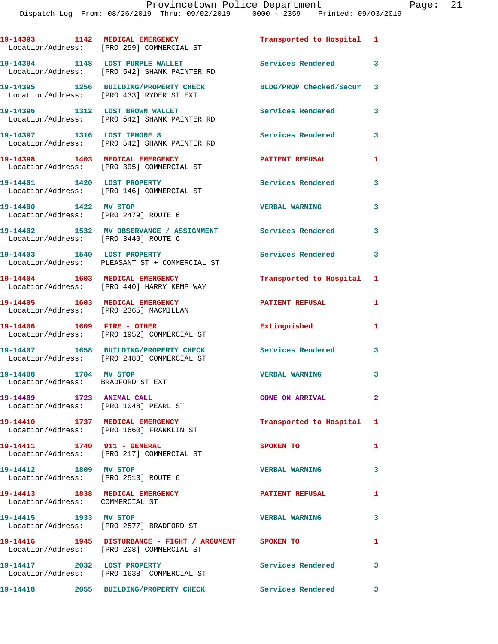|                                                                           | 19-14393 1142 MEDICAL EMERGENCY<br>Location/Address: [PRO 259] COMMERCIAL ST                         | Transported to Hospital 1 |              |
|---------------------------------------------------------------------------|------------------------------------------------------------------------------------------------------|---------------------------|--------------|
|                                                                           | 19-14394 1148 LOST PURPLE WALLET<br>Location/Address: [PRO 542] SHANK PAINTER RD                     | Services Rendered 3       |              |
|                                                                           | 19-14395 1256 BUILDING/PROPERTY CHECK<br>Location/Address: [PRO 433] RYDER ST EXT                    | BLDG/PROP Checked/Secur 3 |              |
|                                                                           | 19-14396 1312 LOST BROWN WALLET<br>Location/Address: [PRO 542] SHANK PAINTER RD                      | Services Rendered         | 3            |
|                                                                           | 19-14397 1316 LOST IPHONE 8<br>Location/Address: [PRO 542] SHANK PAINTER RD                          | <b>Services Rendered</b>  | 3            |
| 19-14398 1403 MEDICAL EMERGENCY                                           | Location/Address: [PRO 395] COMMERCIAL ST                                                            | <b>PATIENT REFUSAL</b>    | 1            |
|                                                                           | 19-14401 1420 LOST PROPERTY<br>Location/Address: [PRO 146] COMMERCIAL ST                             | Services Rendered         | 3            |
| 19-14400 1422 MV STOP<br>Location/Address: [PRO 2479] ROUTE 6             |                                                                                                      | <b>VERBAL WARNING</b>     | 3            |
| Location/Address: [PRO 3440] ROUTE 6                                      | 19-14402 1532 MV OBSERVANCE / ASSIGNMENT Services Rendered                                           |                           | 3            |
|                                                                           | 19-14403 1540 LOST PROPERTY<br>Location/Address: PLEASANT ST + COMMERCIAL ST                         | <b>Services Rendered</b>  | 3            |
| 19-14404 1603 MEDICAL EMERGENCY                                           | Location/Address: [PRO 440] HARRY KEMP WAY                                                           | Transported to Hospital   | 1            |
| 19-14405 1603 MEDICAL EMERGENCY<br>Location/Address: [PRO 2365] MACMILLAN |                                                                                                      | <b>PATIENT REFUSAL</b>    | 1            |
| 19-14406    1609    FIRE - OTHER                                          | Location/Address: [PRO 1952] COMMERCIAL ST                                                           | Extinguished              | $\mathbf{1}$ |
|                                                                           | 19-14407 1658 BUILDING/PROPERTY CHECK<br>Location/Address: [PRO 2483] COMMERCIAL ST                  | <b>Services Rendered</b>  | 3            |
| 1704 MV STOP<br>19-14408<br>Location/Address: BRADFORD ST EXT             |                                                                                                      | <b>VERBAL WARNING</b>     | 3            |
| 19-14409 1723 ANIMAL CALL<br>Location/Address: [PRO 1048] PEARL ST        |                                                                                                      | <b>GONE ON ARRIVAL</b>    | $\mathbf{2}$ |
|                                                                           | 19-14410 1737 MEDICAL EMERGENCY<br>Location/Address: [PRO 1660] FRANKLIN ST                          | Transported to Hospital 1 |              |
| 19-14411 1740 911 - GENERAL                                               | Location/Address: [PRO 217] COMMERCIAL ST                                                            | SPOKEN TO                 | 1            |
| 19-14412 1809 MV STOP<br>Location/Address: [PRO 2513] ROUTE 6             |                                                                                                      | <b>VERBAL WARNING</b>     | 3            |
| 19-14413 1838 MEDICAL EMERGENCY<br>Location/Address: COMMERCIAL ST        |                                                                                                      | <b>PATIENT REFUSAL</b>    | 1            |
| 19-14415 1933 MV STOP                                                     | Location/Address: [PRO 2577] BRADFORD ST                                                             | <b>VERBAL WARNING</b>     | 3            |
|                                                                           | 19-14416  1945 DISTURBANCE - FIGHT / ARGUMENT SPOKEN TO<br>Location/Address: [PRO 208] COMMERCIAL ST |                           | 1            |
| 19-14417 2032 LOST PROPERTY                                               | Location/Address: [PRO 1638] COMMERCIAL ST                                                           | Services Rendered 3       |              |

**19-14418 2055 BUILDING/PROPERTY CHECK Services Rendered 3**